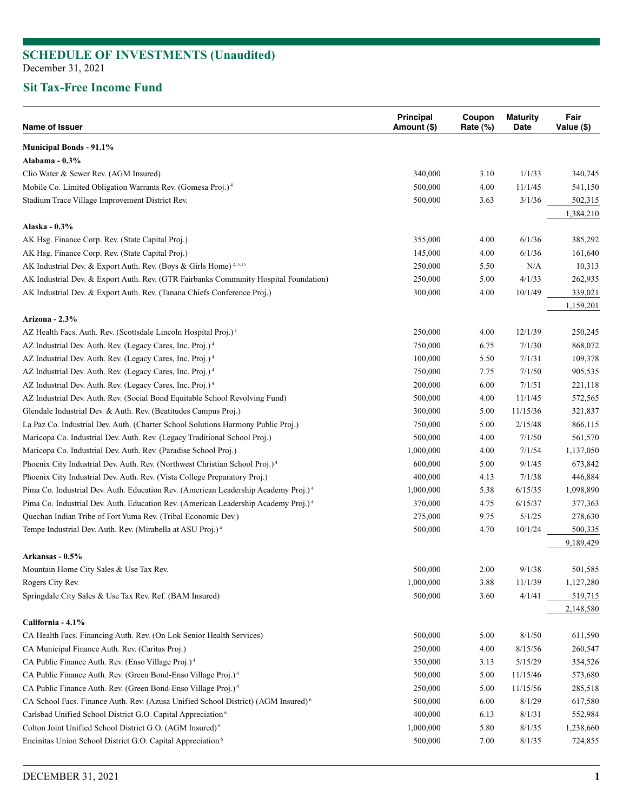## **Sit Tax-Free Income Fund**

| Name of Issuer                                                                                 | Principal<br>Amount (\$) | Coupon<br>Rate (%) | <b>Maturity</b><br>Date | Fair<br>Value (\$)   |
|------------------------------------------------------------------------------------------------|--------------------------|--------------------|-------------------------|----------------------|
| <b>Municipal Bonds - 91.1%</b>                                                                 |                          |                    |                         |                      |
| Alabama - $0.3\%$                                                                              |                          |                    |                         |                      |
| Clio Water & Sewer Rev. (AGM Insured)                                                          | 340,000                  | 3.10               | 1/1/33                  | 340,745              |
| Mobile Co. Limited Obligation Warrants Rev. (Gomesa Proj.) <sup>4</sup>                        | 500,000                  | 4.00               | 11/1/45                 | 541,150              |
| Stadium Trace Village Improvement District Rev.                                                | 500,000                  | 3.63               | 3/1/36                  | 502,315              |
|                                                                                                |                          |                    |                         | 1,384,210            |
| Alaska - 0.3%                                                                                  |                          |                    |                         |                      |
| AK Hsg. Finance Corp. Rev. (State Capital Proj.)                                               | 355,000                  | 4.00               | 6/1/36                  | 385,292              |
| AK Hsg. Finance Corp. Rev. (State Capital Proj.)                                               | 145,000                  | 4.00               | 6/1/36                  | 161,640              |
| AK Industrial Dev. & Export Auth. Rev. (Boys & Girls Home) <sup>2, 5,15</sup>                  | 250,000                  | 5.50               | $\rm N/A$               | 10,313               |
| AK Industrial Dev. & Export Auth. Rev. (GTR Fairbanks Community Hospital Foundation)           | 250,000                  | 5.00               | 4/1/33                  | 262,935              |
| AK Industrial Dev. & Export Auth. Rev. (Tanana Chiefs Conference Proj.)                        | 300,000                  | 4.00               | 10/1/49                 | 339,021              |
|                                                                                                |                          |                    |                         | 1,159,201            |
| Arizona - 2.3%                                                                                 |                          |                    |                         |                      |
| AZ Health Facs. Auth. Rev. (Scottsdale Lincoln Hospital Proj.) <sup>1</sup>                    | 250,000                  | 4.00               | 12/1/39                 | 250,245              |
| AZ Industrial Dev. Auth. Rev. (Legacy Cares, Inc. Proj.) <sup>4</sup>                          | 750,000                  | 6.75               | 7/1/30                  | 868,072              |
| AZ Industrial Dev. Auth. Rev. (Legacy Cares, Inc. Proj.) <sup>4</sup>                          | 100,000                  | 5.50               | 7/1/31                  | 109,378              |
| AZ Industrial Dev. Auth. Rev. (Legacy Cares, Inc. Proj.) <sup>4</sup>                          | 750,000                  | 7.75               | 7/1/50                  | 905,535              |
| AZ Industrial Dev. Auth. Rev. (Legacy Cares, Inc. Proj.) <sup>4</sup>                          | 200,000                  | 6.00               | 7/1/51                  | 221,118              |
| AZ Industrial Dev. Auth. Rev. (Social Bond Equitable School Revolving Fund)                    | 500,000                  | 4.00               | 11/1/45                 | 572,565              |
| Glendale Industrial Dev. & Auth. Rev. (Beatitudes Campus Proj.)                                | 300,000                  | 5.00               | 11/15/36                | 321,837              |
| La Paz Co. Industrial Dev. Auth. (Charter School Solutions Harmony Public Proj.)               | 750,000                  | 5.00               | 2/15/48                 | 866,115              |
| Maricopa Co. Industrial Dev. Auth. Rev. (Legacy Traditional School Proj.)                      | 500,000                  | 4.00               | 7/1/50                  | 561,570              |
| Maricopa Co. Industrial Dev. Auth. Rev. (Paradise School Proj.)                                | 1,000,000                | 4.00               | 7/1/54                  | 1,137,050            |
| Phoenix City Industrial Dev. Auth. Rev. (Northwest Christian School Proj.) <sup>4</sup>        | 600,000                  | 5.00               | 9/1/45                  | 673,842              |
| Phoenix City Industrial Dev. Auth. Rev. (Vista College Preparatory Proj.)                      | 400,000                  | 4.13               | 7/1/38                  | 446,884              |
| Pima Co. Industrial Dev. Auth. Education Rev. (American Leadership Academy Proj.) <sup>4</sup> | 1,000,000                | 5.38               | 6/15/35                 | 1,098,890            |
| Pima Co. Industrial Dev. Auth. Education Rev. (American Leadership Academy Proj.) <sup>4</sup> | 370,000                  | 4.75               | 6/15/37                 | 377,363              |
| Quechan Indian Tribe of Fort Yuma Rev. (Tribal Economic Dev.)                                  | 275,000                  | 9.75               | 5/1/25                  | 278,630              |
| Tempe Industrial Dev. Auth. Rev. (Mirabella at ASU Proj.) <sup>4</sup>                         | 500,000                  | 4.70               | 10/1/24                 | 500,335              |
|                                                                                                |                          |                    |                         | 9,189,429            |
| Arkansas - 0.5%                                                                                |                          |                    |                         |                      |
| Mountain Home City Sales & Use Tax Rev.                                                        | 500,000                  | 2.00               | 9/1/38                  | 501,585              |
| Rogers City Rev.                                                                               | 1,000,000                | 3.88               | 11/1/39                 | 1,127,280            |
| Springdale City Sales & Use Tax Rev. Ref. (BAM Insured)                                        | 500,000                  | 3.60               | 4/1/41                  | 519,715<br>2,148,580 |
| California - 4.1%                                                                              |                          |                    |                         |                      |
| CA Health Facs. Financing Auth. Rev. (On Lok Senior Health Services)                           | 500,000                  | 5.00               | 8/1/50                  | 611,590              |
| CA Municipal Finance Auth. Rev. (Caritas Proj.)                                                | 250,000                  | 4.00               | 8/15/56                 | 260,547              |
| CA Public Finance Auth. Rev. (Enso Village Proj.) <sup>4</sup>                                 | 350,000                  | 3.13               | 5/15/29                 | 354,526              |
| CA Public Finance Auth. Rev. (Green Bond-Enso Village Proj.) <sup>4</sup>                      | 500,000                  | 5.00               | 11/15/46                | 573,680              |
| CA Public Finance Auth. Rev. (Green Bond-Enso Village Proj.) <sup>4</sup>                      | 250,000                  | 5.00               | 11/15/56                | 285,518              |
| CA School Facs. Finance Auth. Rev. (Azusa Unified School District) (AGM Insured) <sup>6</sup>  | 500,000                  | 6.00               | 8/1/29                  | 617,580              |
| Carlsbad Unified School District G.O. Capital Appreciation <sup>6</sup>                        | 400,000                  | 6.13               | 8/1/31                  | 552,984              |
| Colton Joint Unified School District G.O. (AGM Insured) <sup>6</sup>                           | 1,000,000                | 5.80               | 8/1/35                  | 1,238,660            |
| Encinitas Union School District G.O. Capital Appreciation <sup>6</sup>                         | 500,000                  | 7.00               | 8/1/35                  | 724,855              |
|                                                                                                |                          |                    |                         |                      |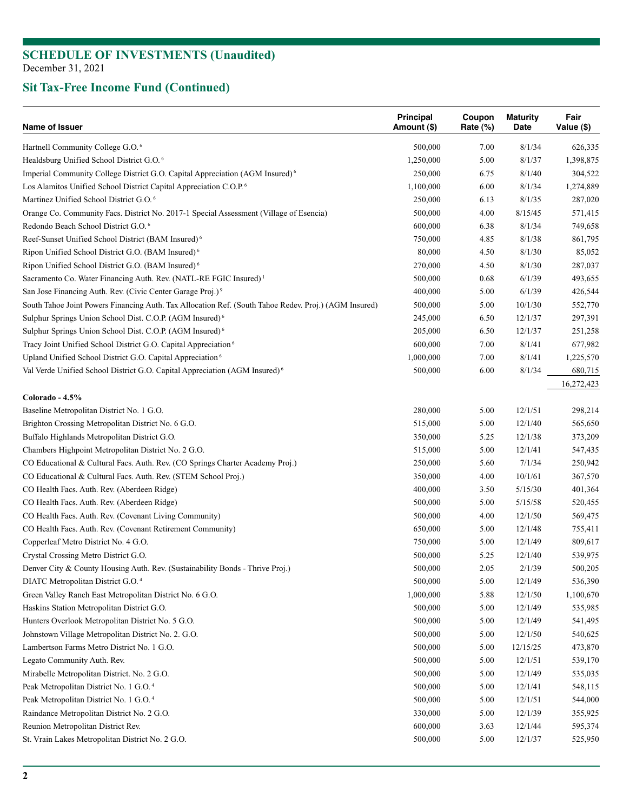| Name of Issuer                                                                                        | <b>Principal</b><br>Amount (\$) | Coupon<br>Rate $(\%)$ | <b>Maturity</b><br>Date | Fair<br>Value (\$) |
|-------------------------------------------------------------------------------------------------------|---------------------------------|-----------------------|-------------------------|--------------------|
| Hartnell Community College G.O. <sup>6</sup>                                                          | 500,000                         | 7.00                  | 8/1/34                  | 626,335            |
| Healdsburg Unified School District G.O. <sup>6</sup>                                                  | 1,250,000                       | 5.00                  | 8/1/37                  | 1,398,875          |
| Imperial Community College District G.O. Capital Appreciation (AGM Insured) <sup>6</sup>              | 250,000                         | 6.75                  | 8/1/40                  | 304,522            |
| Los Alamitos Unified School District Capital Appreciation C.O.P. <sup>6</sup>                         | 1,100,000                       | 6.00                  | 8/1/34                  | 1,274,889          |
| Martinez Unified School District G.O. <sup>6</sup>                                                    | 250,000                         | 6.13                  | 8/1/35                  | 287,020            |
| Orange Co. Community Facs. District No. 2017-1 Special Assessment (Village of Esencia)                | 500,000                         | 4.00                  | 8/15/45                 | 571,415            |
| Redondo Beach School District G.O. <sup>6</sup>                                                       | 600,000                         | 6.38                  | 8/1/34                  | 749,658            |
| Reef-Sunset Unified School District (BAM Insured) <sup>6</sup>                                        | 750,000                         | 4.85                  | 8/1/38                  | 861,795            |
| Ripon Unified School District G.O. (BAM Insured) <sup>6</sup>                                         | 80,000                          | 4.50                  | 8/1/30                  | 85,052             |
| Ripon Unified School District G.O. (BAM Insured) <sup>6</sup>                                         | 270,000                         | 4.50                  | 8/1/30                  | 287,037            |
| Sacramento Co. Water Financing Auth. Rev. (NATL-RE FGIC Insured) <sup>1</sup>                         | 500,000                         | 0.68                  | 6/1/39                  | 493,655            |
| San Jose Financing Auth. Rev. (Civic Center Garage Proj.) <sup>9</sup>                                | 400,000                         | 5.00                  | 6/1/39                  | 426,544            |
| South Tahoe Joint Powers Financing Auth. Tax Allocation Ref. (South Tahoe Redev. Proj.) (AGM Insured) | 500,000                         | 5.00                  | 10/1/30                 | 552,770            |
| Sulphur Springs Union School Dist. C.O.P. (AGM Insured) <sup>6</sup>                                  | 245,000                         | 6.50                  | 12/1/37                 | 297,391            |
| Sulphur Springs Union School Dist. C.O.P. (AGM Insured) <sup>6</sup>                                  | 205,000                         | 6.50                  | 12/1/37                 | 251,258            |
| Tracy Joint Unified School District G.O. Capital Appreciation <sup>6</sup>                            | 600,000                         | 7.00                  | 8/1/41                  | 677,982            |
| Upland Unified School District G.O. Capital Appreciation <sup>6</sup>                                 | 1,000,000                       | 7.00                  | 8/1/41                  | 1,225,570          |
| Val Verde Unified School District G.O. Capital Appreciation (AGM Insured) <sup>6</sup>                | 500,000                         | 6.00                  | 8/1/34                  | 680,715            |
|                                                                                                       |                                 |                       |                         | 16,272,423         |
| Colorado - 4.5%                                                                                       |                                 |                       |                         |                    |
| Baseline Metropolitan District No. 1 G.O.                                                             | 280,000                         | 5.00                  | 12/1/51                 | 298,214            |
| Brighton Crossing Metropolitan District No. 6 G.O.                                                    | 515,000                         | 5.00                  | 12/1/40                 | 565,650            |
| Buffalo Highlands Metropolitan District G.O.                                                          | 350,000                         | 5.25                  | 12/1/38                 | 373,209            |
| Chambers Highpoint Metropolitan District No. 2 G.O.                                                   | 515,000                         | 5.00                  | 12/1/41                 | 547,435            |
| CO Educational & Cultural Facs. Auth. Rev. (CO Springs Charter Academy Proj.)                         | 250,000                         | 5.60                  | 7/1/34                  | 250,942            |
| CO Educational & Cultural Facs. Auth. Rev. (STEM School Proj.)                                        | 350,000                         | 4.00                  | 10/1/61                 | 367,570            |
| CO Health Facs. Auth. Rev. (Aberdeen Ridge)                                                           | 400,000                         | 3.50                  | 5/15/30                 | 401,364            |
| CO Health Facs. Auth. Rev. (Aberdeen Ridge)                                                           | 500,000                         | 5.00                  | 5/15/58                 | 520,455            |
| CO Health Facs. Auth. Rev. (Covenant Living Community)                                                | 500,000                         | 4.00                  | 12/1/50                 | 569,475            |
| CO Health Facs. Auth. Rev. (Covenant Retirement Community)                                            | 650,000                         | 5.00                  | 12/1/48                 | 755,411            |
| Copperleaf Metro District No. 4 G.O.                                                                  | 750,000                         | 5.00                  | 12/1/49                 | 809,617            |
| Crystal Crossing Metro District G.O.                                                                  | 500,000                         | 5.25                  | 12/1/40                 | 539,975            |
| Denver City & County Housing Auth. Rev. (Sustainability Bonds - Thrive Proj.)                         | 500,000                         | 2.05                  | 2/1/39                  | 500,205            |
| DIATC Metropolitan District G.O. <sup>4</sup>                                                         | 500,000                         | $5.00\,$              | 12/1/49                 | 536,390            |
| Green Valley Ranch East Metropolitan District No. 6 G.O.                                              | 1,000,000                       | 5.88                  | 12/1/50                 | 1,100,670          |
| Haskins Station Metropolitan District G.O.                                                            | 500,000                         | 5.00                  | 12/1/49                 | 535,985            |
| Hunters Overlook Metropolitan District No. 5 G.O.                                                     | 500,000                         | 5.00                  | 12/1/49                 | 541,495            |
| Johnstown Village Metropolitan District No. 2. G.O.                                                   | 500,000                         | 5.00                  | 12/1/50                 | 540,625            |
| Lambertson Farms Metro District No. 1 G.O.                                                            | 500,000                         | 5.00                  | 12/15/25                | 473,870            |
| Legato Community Auth. Rev.                                                                           | 500,000                         | 5.00                  | 12/1/51                 | 539,170            |
| Mirabelle Metropolitan District. No. 2 G.O.                                                           | 500,000                         | 5.00                  | 12/1/49                 | 535,035            |
| Peak Metropolitan District No. 1 G.O. <sup>4</sup>                                                    | 500,000                         | 5.00                  | 12/1/41                 | 548,115            |
| Peak Metropolitan District No. 1 G.O. <sup>4</sup>                                                    | 500,000                         | 5.00                  | 12/1/51                 | 544,000            |
| Raindance Metropolitan District No. 2 G.O.                                                            | 330,000                         | 5.00                  | 12/1/39                 | 355,925            |
| Reunion Metropolitan District Rev.                                                                    | 600,000                         | 3.63                  | 12/1/44                 | 595,374            |
| St. Vrain Lakes Metropolitan District No. 2 G.O.                                                      | 500,000                         | 5.00                  | 12/1/37                 | 525,950            |
|                                                                                                       |                                 |                       |                         |                    |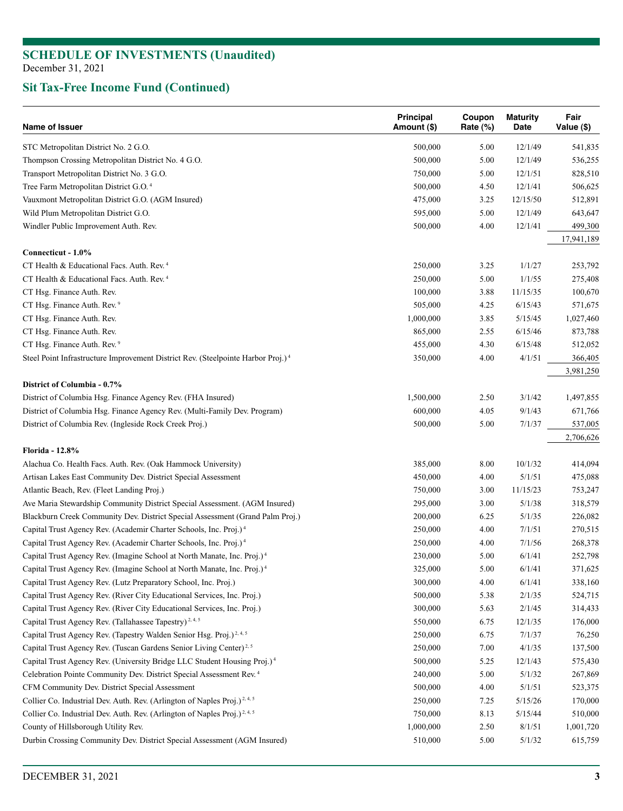| Name of Issuer                                                                               | Principal<br>Amount (\$) | Coupon<br>Rate (%) | <b>Maturity</b><br>Date | Fair<br>Value (\$) |
|----------------------------------------------------------------------------------------------|--------------------------|--------------------|-------------------------|--------------------|
| STC Metropolitan District No. 2 G.O.                                                         | 500,000                  | 5.00               | 12/1/49                 | 541,835            |
| Thompson Crossing Metropolitan District No. 4 G.O.                                           | 500,000                  | 5.00               | 12/1/49                 | 536,255            |
| Transport Metropolitan District No. 3 G.O.                                                   | 750,000                  | 5.00               | 12/1/51                 | 828,510            |
| Tree Farm Metropolitan District G.O. <sup>4</sup>                                            | 500,000                  | 4.50               | 12/1/41                 | 506,625            |
| Vauxmont Metropolitan District G.O. (AGM Insured)                                            | 475,000                  | 3.25               | 12/15/50                | 512,891            |
| Wild Plum Metropolitan District G.O.                                                         | 595,000                  | 5.00               | 12/1/49                 | 643,647            |
| Windler Public Improvement Auth. Rev.                                                        | 500,000                  | 4.00               | 12/1/41                 | 499,300            |
|                                                                                              |                          |                    |                         | 17,941,189         |
| Connecticut - 1.0%                                                                           |                          |                    |                         |                    |
| CT Health & Educational Facs. Auth. Rev. <sup>4</sup>                                        | 250,000                  | 3.25               | 1/1/27                  | 253,792            |
| CT Health & Educational Facs. Auth. Rev. <sup>4</sup>                                        | 250,000                  | 5.00               | 1/1/55                  | 275,408            |
| CT Hsg. Finance Auth. Rev.                                                                   | 100,000                  | 3.88               | 11/15/35                | 100,670            |
| CT Hsg. Finance Auth. Rev. <sup>9</sup>                                                      | 505,000                  | 4.25               | 6/15/43                 | 571,675            |
| CT Hsg. Finance Auth. Rev.                                                                   | 1,000,000                | 3.85               | 5/15/45                 | 1,027,460          |
| CT Hsg. Finance Auth. Rev.                                                                   | 865,000                  | 2.55               | 6/15/46                 | 873,788            |
| CT Hsg. Finance Auth. Rev. <sup>9</sup>                                                      | 455,000                  | 4.30               | 6/15/48                 | 512,052            |
| Steel Point Infrastructure Improvement District Rev. (Steelpointe Harbor Proj.) <sup>4</sup> | 350,000                  | 4.00               | 4/1/51                  | 366,405            |
|                                                                                              |                          |                    |                         | 3,981,250          |
| District of Columbia - 0.7%                                                                  |                          |                    |                         |                    |
| District of Columbia Hsg. Finance Agency Rev. (FHA Insured)                                  | 1,500,000                | 2.50               | 3/1/42                  | 1,497,855          |
| District of Columbia Hsg. Finance Agency Rev. (Multi-Family Dev. Program)                    | 600,000                  | 4.05               | 9/1/43                  | 671,766            |
| District of Columbia Rev. (Ingleside Rock Creek Proj.)                                       | 500,000                  | 5.00               | 7/1/37                  | 537,005            |
|                                                                                              |                          |                    |                         | 2,706,626          |
| <b>Florida - 12.8%</b>                                                                       |                          |                    |                         |                    |
| Alachua Co. Health Facs. Auth. Rev. (Oak Hammock University)                                 | 385,000                  | 8.00               | 10/1/32                 | 414,094            |
| Artisan Lakes East Community Dev. District Special Assessment                                | 450,000                  | 4.00               | 5/1/51                  | 475,088            |
| Atlantic Beach, Rev. (Fleet Landing Proj.)                                                   | 750,000                  | 3.00               | 11/15/23                | 753,247            |
| Ave Maria Stewardship Community District Special Assessment. (AGM Insured)                   | 295,000                  | 3.00               | 5/1/38                  | 318,579            |
| Blackburn Creek Community Dev. District Special Assessment (Grand Palm Proj.)                | 200,000                  | 6.25               | 5/1/35                  | 226,082            |
| Capital Trust Agency Rev. (Academir Charter Schools, Inc. Proj.) <sup>4</sup>                | 250,000                  | 4.00               | 7/1/51                  | 270,515            |
| Capital Trust Agency Rev. (Academir Charter Schools, Inc. Proj.) <sup>4</sup>                | 250,000                  | 4.00               | 7/1/56                  | 268,378            |
| Capital Trust Agency Rev. (Imagine School at North Manate, Inc. Proj.) <sup>4</sup>          | 230,000                  | 5.00               | 6/1/41                  | 252,798            |
| Capital Trust Agency Rev. (Imagine School at North Manate, Inc. Proj.) <sup>4</sup>          | 325,000                  | 5.00               | 6/1/41                  | 371,625            |
| Capital Trust Agency Rev. (Lutz Preparatory School, Inc. Proj.)                              | 300,000                  | 4.00               | 6/1/41                  | 338,160            |
| Capital Trust Agency Rev. (River City Educational Services, Inc. Proj.)                      | 500,000                  | 5.38               | 2/1/35                  | 524,715            |
| Capital Trust Agency Rev. (River City Educational Services, Inc. Proj.)                      | 300,000                  | 5.63               | 2/1/45                  | 314,433            |
| Capital Trust Agency Rev. (Tallahassee Tapestry) <sup>2, 4, 5</sup>                          | 550,000                  | 6.75               | 12/1/35                 | 176,000            |
| Capital Trust Agency Rev. (Tapestry Walden Senior Hsg. Proj.) <sup>2,4,5</sup>               | 250,000                  | 6.75               | 7/1/37                  | 76,250             |
| Capital Trust Agency Rev. (Tuscan Gardens Senior Living Center) <sup>2,5</sup>               | 250,000                  | 7.00               | 4/1/35                  | 137,500            |
| Capital Trust Agency Rev. (University Bridge LLC Student Housing Proj.) <sup>4</sup>         | 500,000                  | 5.25               | 12/1/43                 | 575,430            |
| Celebration Pointe Community Dev. District Special Assessment Rev. <sup>4</sup>              | 240,000                  | 5.00               | 5/1/32                  | 267,869            |
|                                                                                              |                          |                    |                         |                    |
| CFM Community Dev. District Special Assessment                                               | 500,000                  | 4.00               | 5/1/51                  | 523,375            |
| Collier Co. Industrial Dev. Auth. Rev. (Arlington of Naples Proj.) <sup>2,4,5</sup>          | 250,000                  | 7.25               | 5/15/26                 | 170,000            |
| Collier Co. Industrial Dev. Auth. Rev. (Arlington of Naples Proj.) <sup>2,4,5</sup>          | 750,000                  | 8.13               | 5/15/44                 | 510,000            |
| County of Hillsborough Utility Rev.                                                          | 1,000,000                | 2.50               | 8/1/51                  | 1,001,720          |
| Durbin Crossing Community Dev. District Special Assessment (AGM Insured)                     | 510,000                  | 5.00               | 5/1/32                  | 615,759            |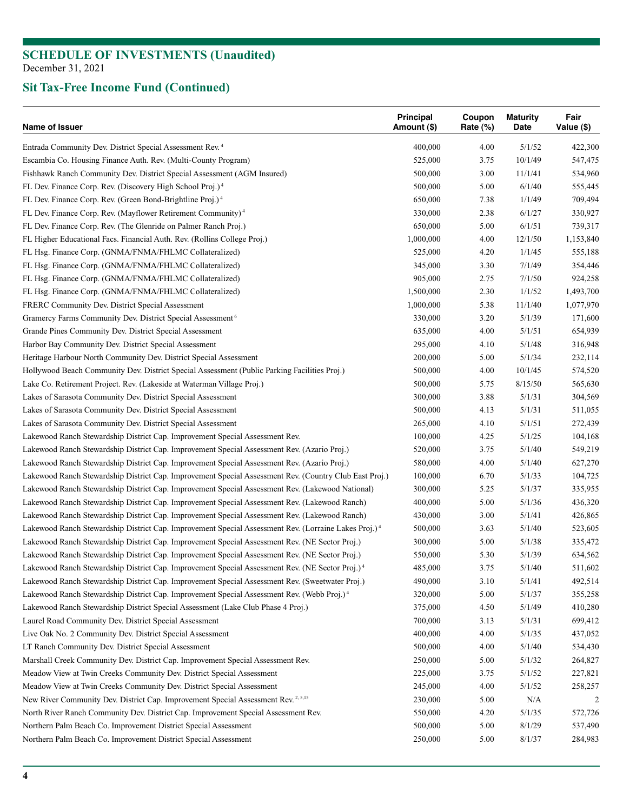| Name of Issuer                                                                                                                                                        | Principal<br>Amount (\$) | Coupon<br>Rate $(\%)$ | <b>Maturity</b><br>Date | Fair<br>Value (\$) |
|-----------------------------------------------------------------------------------------------------------------------------------------------------------------------|--------------------------|-----------------------|-------------------------|--------------------|
| Entrada Community Dev. District Special Assessment Rev. <sup>4</sup>                                                                                                  | 400,000                  | 4.00                  | 5/1/52                  | 422,300            |
| Escambia Co. Housing Finance Auth. Rev. (Multi-County Program)                                                                                                        | 525,000                  | 3.75                  | 10/1/49                 | 547,475            |
| Fishhawk Ranch Community Dev. District Special Assessment (AGM Insured)                                                                                               | 500,000                  | 3.00                  | 11/1/41                 | 534,960            |
| FL Dev. Finance Corp. Rev. (Discovery High School Proj.) <sup>4</sup>                                                                                                 | 500,000                  | 5.00                  | 6/1/40                  | 555,445            |
| FL Dev. Finance Corp. Rev. (Green Bond-Brightline Proj.) <sup>4</sup>                                                                                                 | 650,000                  | 7.38                  | 1/1/49                  | 709,494            |
| FL Dev. Finance Corp. Rev. (Mayflower Retirement Community) <sup>4</sup>                                                                                              | 330,000                  | 2.38                  | 6/1/27                  | 330,927            |
| FL Dev. Finance Corp. Rev. (The Glenride on Palmer Ranch Proj.)                                                                                                       | 650,000                  | 5.00                  | 6/1/51                  | 739,317            |
| FL Higher Educational Facs. Financial Auth. Rev. (Rollins College Proj.)                                                                                              | 1,000,000                | 4.00                  | 12/1/50                 | 1,153,840          |
| FL Hsg. Finance Corp. (GNMA/FNMA/FHLMC Collateralized)                                                                                                                | 525,000                  | 4.20                  | 1/1/45                  | 555,188            |
| FL Hsg. Finance Corp. (GNMA/FNMA/FHLMC Collateralized)                                                                                                                | 345,000                  | 3.30                  | 7/1/49                  | 354,446            |
| FL Hsg. Finance Corp. (GNMA/FNMA/FHLMC Collateralized)                                                                                                                | 905,000                  | 2.75                  | 7/1/50                  | 924,258            |
| FL Hsg. Finance Corp. (GNMA/FNMA/FHLMC Collateralized)                                                                                                                | 1,500,000                | 2.30                  | 1/1/52                  | 1,493,700          |
| FRERC Community Dev. District Special Assessment                                                                                                                      | 1,000,000                | 5.38                  | 11/1/40                 | 1,077,970          |
| Gramercy Farms Community Dev. District Special Assessment <sup>6</sup>                                                                                                | 330,000                  | 3.20                  | 5/1/39                  | 171,600            |
| Grande Pines Community Dev. District Special Assessment                                                                                                               | 635,000                  | 4.00                  | 5/1/51                  | 654,939            |
| Harbor Bay Community Dev. District Special Assessment                                                                                                                 | 295,000                  | 4.10                  | 5/1/48                  | 316,948            |
| Heritage Harbour North Community Dev. District Special Assessment                                                                                                     | 200,000                  | 5.00                  | 5/1/34                  | 232,114            |
| Hollywood Beach Community Dev. District Special Assessment (Public Parking Facilities Proj.)                                                                          | 500,000                  | 4.00                  | 10/1/45                 | 574,520            |
| Lake Co. Retirement Project. Rev. (Lakeside at Waterman Village Proj.)                                                                                                | 500,000                  | 5.75                  | 8/15/50                 | 565,630            |
| Lakes of Sarasota Community Dev. District Special Assessment                                                                                                          | 300,000                  | 3.88                  | 5/1/31                  | 304,569            |
| Lakes of Sarasota Community Dev. District Special Assessment                                                                                                          | 500,000                  | 4.13                  | 5/1/31                  | 511,055            |
| Lakes of Sarasota Community Dev. District Special Assessment                                                                                                          | 265,000                  | 4.10                  | 5/1/51                  | 272,439            |
| Lakewood Ranch Stewardship District Cap. Improvement Special Assessment Rev.                                                                                          | 100,000                  | 4.25                  | 5/1/25                  | 104,168            |
| Lakewood Ranch Stewardship District Cap. Improvement Special Assessment Rev. (Azario Proj.)                                                                           | 520,000                  | 3.75                  | 5/1/40                  | 549,219            |
| Lakewood Ranch Stewardship District Cap. Improvement Special Assessment Rev. (Azario Proj.)                                                                           | 580,000                  | 4.00                  | 5/1/40                  | 627,270            |
| Lakewood Ranch Stewardship District Cap. Improvement Special Assessment Rev. (Country Club East Proj.)                                                                | 100,000                  | 6.70                  | 5/1/33                  | 104,725            |
| Lakewood Ranch Stewardship District Cap. Improvement Special Assessment Rev. (Lakewood National)                                                                      | 300,000                  | 5.25                  | 5/1/37                  | 335,955            |
| Lakewood Ranch Stewardship District Cap. Improvement Special Assessment Rev. (Lakewood Ranch)                                                                         | 400,000                  | 5.00                  | 5/1/36                  | 436,320            |
| Lakewood Ranch Stewardship District Cap. Improvement Special Assessment Rev. (Lakewood Ranch)                                                                         | 430,000                  | 3.00                  | 5/1/41                  | 426,865            |
| Lakewood Ranch Stewardship District Cap. Improvement Special Assessment Rev. (Lorraine Lakes Proj.) <sup>4</sup>                                                      | 500,000                  | 3.63                  | 5/1/40                  | 523,605            |
| Lakewood Ranch Stewardship District Cap. Improvement Special Assessment Rev. (NE Sector Proj.)                                                                        | 300,000                  | 5.00                  | 5/1/38                  | 335,472            |
| Lakewood Ranch Stewardship District Cap. Improvement Special Assessment Rev. (NE Sector Proj.)                                                                        | 550,000                  | 5.30                  | 5/1/39                  | 634,562            |
| Lakewood Ranch Stewardship District Cap. Improvement Special Assessment Rev. (NE Sector Proj.) <sup>4</sup>                                                           | 485,000                  | 3.75                  | 5/1/40                  | 511,602            |
| Lakewood Ranch Stewardship District Cap. Improvement Special Assessment Rev. (Sweetwater Proj.)                                                                       | 490,000                  | 3.10                  | 5/1/41                  | 492,514            |
| Lakewood Ranch Stewardship District Cap. Improvement Special Assessment Rev. (Webb Proj.) <sup>4</sup>                                                                | 320,000                  | 5.00                  | 5/1/37                  | 355,258            |
| Lakewood Ranch Stewardship District Special Assessment (Lake Club Phase 4 Proj.)                                                                                      | 375,000                  | 4.50                  | 5/1/49                  | 410,280            |
| Laurel Road Community Dev. District Special Assessment                                                                                                                | 700,000                  | 3.13                  | 5/1/31                  | 699,412            |
| Live Oak No. 2 Community Dev. District Special Assessment                                                                                                             | 400,000                  | 4.00                  | 5/1/35                  | 437,052            |
| LT Ranch Community Dev. District Special Assessment                                                                                                                   | 500,000                  | 4.00                  | 5/1/40                  | 534,430            |
| Marshall Creek Community Dev. District Cap. Improvement Special Assessment Rev.                                                                                       | 250,000                  | 5.00                  | 5/1/32                  | 264,827            |
| Meadow View at Twin Creeks Community Dev. District Special Assessment                                                                                                 |                          |                       |                         |                    |
|                                                                                                                                                                       | 225,000                  | 3.75                  | 5/1/52                  | 227,821            |
| Meadow View at Twin Creeks Community Dev. District Special Assessment<br>New River Community Dev. District Cap. Improvement Special Assessment Rev. <sup>2,5,15</sup> | 245,000                  | 4.00                  | 5/1/52                  | 258,257            |
|                                                                                                                                                                       | 230,000<br>550,000       | 5.00                  | N/A                     | 2                  |
| North River Ranch Community Dev. District Cap. Improvement Special Assessment Rev.<br>Northern Palm Beach Co. Improvement District Special Assessment                 | 500,000                  | 4.20<br>5.00          | 5/1/35<br>8/1/29        | 572,726<br>537,490 |
|                                                                                                                                                                       |                          |                       |                         |                    |
| Northern Palm Beach Co. Improvement District Special Assessment                                                                                                       | 250,000                  | 5.00                  | 8/1/37                  | 284,983            |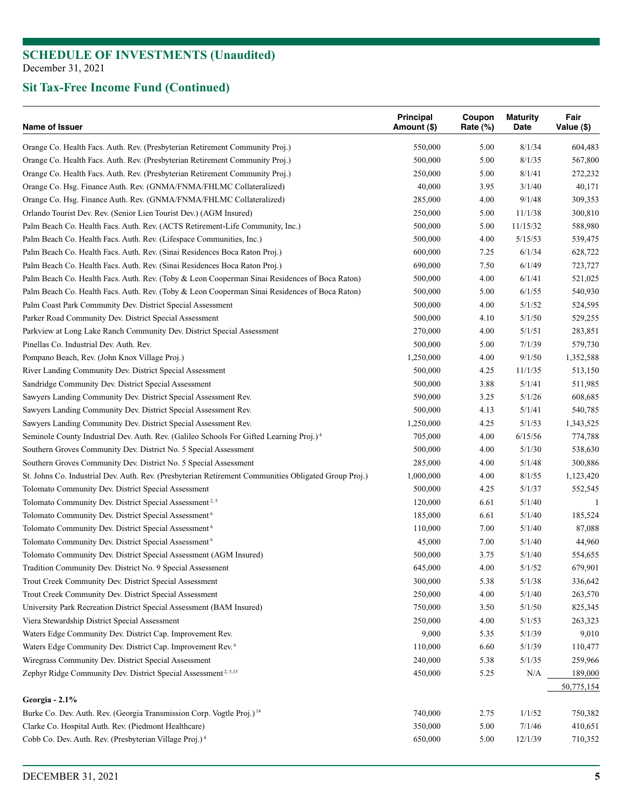| Orange Co. Health Facs. Auth. Rev. (Presbyterian Retirement Community Proj.)<br>550,000<br>8/1/34<br>5.00<br>Orange Co. Health Facs. Auth. Rev. (Presbyterian Retirement Community Proj.)<br>500,000<br>5.00<br>8/1/35 | 604,483<br>567,800<br>272,232 |
|------------------------------------------------------------------------------------------------------------------------------------------------------------------------------------------------------------------------|-------------------------------|
|                                                                                                                                                                                                                        |                               |
|                                                                                                                                                                                                                        |                               |
| Orange Co. Health Facs. Auth. Rev. (Presbyterian Retirement Community Proj.)<br>5.00<br>8/1/41<br>250,000                                                                                                              |                               |
| Orange Co. Hsg. Finance Auth. Rev. (GNMA/FNMA/FHLMC Collateralized)<br>40,000<br>3.95<br>3/1/40                                                                                                                        | 40,171                        |
| Orange Co. Hsg. Finance Auth. Rev. (GNMA/FNMA/FHLMC Collateralized)<br>285,000<br>4.00<br>9/1/48                                                                                                                       | 309,353                       |
| Orlando Tourist Dev. Rev. (Senior Lien Tourist Dev.) (AGM Insured)<br>250,000<br>5.00<br>11/1/38                                                                                                                       | 300,810                       |
| Palm Beach Co. Health Facs. Auth. Rev. (ACTS Retirement-Life Community, Inc.)<br>500,000<br>5.00<br>11/15/32                                                                                                           | 588,980                       |
| Palm Beach Co. Health Facs. Auth. Rev. (Lifespace Communities, Inc.)<br>500,000<br>4.00<br>5/15/53                                                                                                                     | 539,475                       |
| Palm Beach Co. Health Facs. Auth. Rev. (Sinai Residences Boca Raton Proj.)<br>7.25<br>6/1/34<br>600,000                                                                                                                | 628,722                       |
| 6/1/49<br>Palm Beach Co. Health Facs. Auth. Rev. (Sinai Residences Boca Raton Proj.)<br>690,000<br>7.50                                                                                                                | 723,727                       |
| Palm Beach Co. Health Facs. Auth. Rev. (Toby & Leon Cooperman Sinai Residences of Boca Raton)<br>500,000<br>4.00<br>6/1/41                                                                                             | 521,025                       |
| Palm Beach Co. Health Facs. Auth. Rev. (Toby & Leon Cooperman Sinai Residences of Boca Raton)<br>500,000<br>5.00<br>6/1/55                                                                                             | 540,930                       |
| Palm Coast Park Community Dev. District Special Assessment<br>500,000<br>4.00<br>5/1/52                                                                                                                                | 524,595                       |
| Parker Road Community Dev. District Special Assessment<br>500,000<br>4.10<br>5/1/50                                                                                                                                    | 529,255                       |
| Parkview at Long Lake Ranch Community Dev. District Special Assessment<br>270,000<br>4.00<br>5/1/51                                                                                                                    | 283,851                       |
| Pinellas Co. Industrial Dev. Auth. Rev.<br>500,000<br>5.00<br>7/1/39                                                                                                                                                   | 579,730                       |
| Pompano Beach, Rev. (John Knox Village Proj.)<br>1,250,000<br>4.00<br>9/1/50                                                                                                                                           | 1,352,588                     |
| River Landing Community Dev. District Special Assessment<br>500,000<br>4.25<br>11/1/35                                                                                                                                 | 513,150                       |
| Sandridge Community Dev. District Special Assessment<br>500,000<br>3.88<br>5/1/41                                                                                                                                      | 511,985                       |
| Sawyers Landing Community Dev. District Special Assessment Rev.<br>590,000<br>3.25<br>5/1/26                                                                                                                           | 608,685                       |
| Sawyers Landing Community Dev. District Special Assessment Rev.<br>500,000<br>4.13<br>5/1/41                                                                                                                           | 540,785                       |
| Sawyers Landing Community Dev. District Special Assessment Rev.<br>1,250,000<br>4.25<br>5/1/53                                                                                                                         | 1,343,525                     |
| Seminole County Industrial Dev. Auth. Rev. (Galileo Schools For Gifted Learning Proj.) <sup>4</sup><br>705,000<br>4.00<br>6/15/56                                                                                      | 774,788                       |
| Southern Groves Community Dev. District No. 5 Special Assessment<br>500,000<br>4.00<br>5/1/30                                                                                                                          | 538,630                       |
| Southern Groves Community Dev. District No. 5 Special Assessment<br>4.00<br>5/1/48<br>285,000                                                                                                                          | 300,886                       |
| St. Johns Co. Industrial Dev. Auth. Rev. (Presbyterian Retirement Communities Obligated Group Proj.)<br>4.00<br>8/1/55<br>1,000,000                                                                                    | 1,123,420                     |
| Tolomato Community Dev. District Special Assessment<br>500,000<br>4.25<br>5/1/37                                                                                                                                       | 552,545                       |
| Tolomato Community Dev. District Special Assessment <sup>2, 5</sup><br>120,000<br>6.61<br>5/1/40                                                                                                                       | 1                             |
| Tolomato Community Dev. District Special Assessment <sup>6</sup><br>185,000<br>6.61<br>5/1/40                                                                                                                          | 185,524                       |
| Tolomato Community Dev. District Special Assessment <sup>6</sup><br>110,000<br>7.00<br>5/1/40                                                                                                                          | 87,088                        |
| Tolomato Community Dev. District Special Assessment <sup>6</sup><br>45,000<br>7.00<br>5/1/40                                                                                                                           | 44,960                        |
| 5/1/40<br>Tolomato Community Dev. District Special Assessment (AGM Insured)<br>500,000<br>3.75                                                                                                                         | 554,655                       |
| 4.00<br>Tradition Community Dev. District No. 9 Special Assessment<br>645,000<br>5/1/52                                                                                                                                | 679,901                       |
| 5/1/38<br>Trout Creek Community Dev. District Special Assessment<br>300,000<br>5.38                                                                                                                                    | 336,642                       |
| Trout Creek Community Dev. District Special Assessment<br>4.00<br>5/1/40<br>250,000                                                                                                                                    | 263,570                       |
| University Park Recreation District Special Assessment (BAM Insured)<br>750,000<br>3.50<br>5/1/50                                                                                                                      | 825,345                       |
| Viera Stewardship District Special Assessment<br>250,000<br>4.00<br>5/1/53                                                                                                                                             | 263,323                       |
| Waters Edge Community Dev. District Cap. Improvement Rev.<br>9,000<br>5.35<br>5/1/39                                                                                                                                   | 9,010                         |
| Waters Edge Community Dev. District Cap. Improvement Rev. <sup>6</sup><br>110,000<br>6.60<br>5/1/39                                                                                                                    | 110,477                       |
| Wiregrass Community Dev. District Special Assessment<br>240,000<br>5.38<br>5/1/35                                                                                                                                      | 259,966                       |
| Zephyr Ridge Community Dev. District Special Assessment <sup>2, 5,15</sup><br>450,000<br>5.25                                                                                                                          | N/A<br>189,000                |
|                                                                                                                                                                                                                        |                               |
| Georgia - 2.1%                                                                                                                                                                                                         | 50,775,154                    |
| Burke Co. Dev. Auth. Rev. (Georgia Transmission Corp. Vogtle Proj.) <sup>14</sup><br>740,000<br>2.75<br>1/1/52                                                                                                         | 750,382                       |
| Clarke Co. Hospital Auth. Rev. (Piedmont Healthcare)<br>350,000<br>5.00<br>7/1/46                                                                                                                                      | 410,651                       |
| Cobb Co. Dev. Auth. Rev. (Presbyterian Village Proj.) <sup>4</sup><br>650,000<br>5.00<br>12/1/39                                                                                                                       | 710,352                       |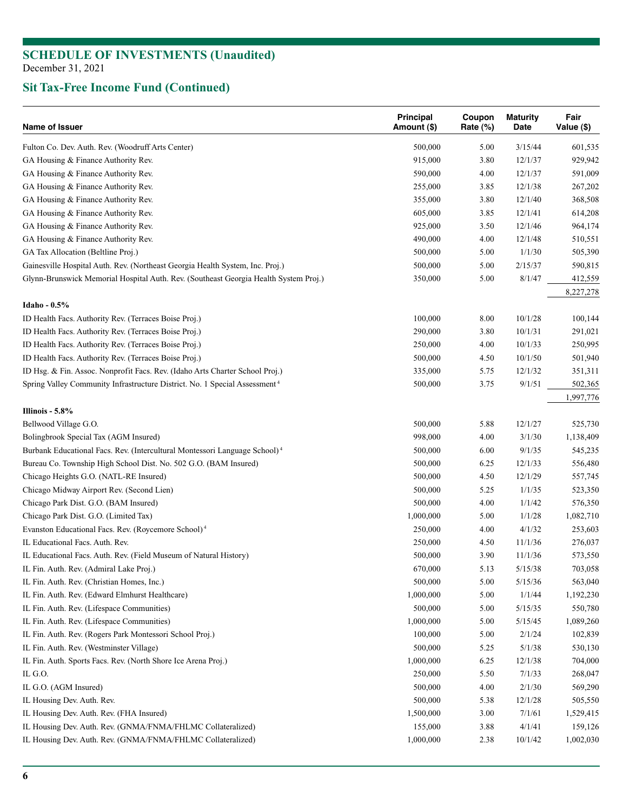| Name of Issuer                                                                         | <b>Principal</b><br>Amount (\$) | Coupon<br>Rate (%) | <b>Maturity</b><br>Date | Fair<br>Value (\$) |
|----------------------------------------------------------------------------------------|---------------------------------|--------------------|-------------------------|--------------------|
| Fulton Co. Dev. Auth. Rev. (Woodruff Arts Center)                                      | 500,000                         | 5.00               | 3/15/44                 | 601,535            |
| GA Housing & Finance Authority Rev.                                                    | 915,000                         | 3.80               | 12/1/37                 | 929,942            |
| GA Housing & Finance Authority Rev.                                                    | 590,000                         | 4.00               | 12/1/37                 | 591,009            |
| GA Housing & Finance Authority Rev.                                                    | 255,000                         | 3.85               | 12/1/38                 | 267,202            |
| GA Housing & Finance Authority Rev.                                                    | 355,000                         | 3.80               | 12/1/40                 | 368,508            |
| GA Housing & Finance Authority Rev.                                                    | 605,000                         | 3.85               | 12/1/41                 | 614,208            |
| GA Housing & Finance Authority Rev.                                                    | 925,000                         | 3.50               | 12/1/46                 | 964,174            |
| GA Housing & Finance Authority Rev.                                                    | 490,000                         | 4.00               | 12/1/48                 | 510,551            |
| GA Tax Allocation (Beltline Proj.)                                                     | 500,000                         | 5.00               | 1/1/30                  | 505,390            |
| Gainesville Hospital Auth. Rev. (Northeast Georgia Health System, Inc. Proj.)          | 500,000                         | 5.00               | 2/15/37                 | 590,815            |
| Glynn-Brunswick Memorial Hospital Auth. Rev. (Southeast Georgia Health System Proj.)   | 350,000                         | 5.00               | 8/1/47                  | 412,559            |
|                                                                                        |                                 |                    |                         | 8,227,278          |
| Idaho - 0.5%                                                                           |                                 |                    |                         |                    |
| ID Health Facs. Authority Rev. (Terraces Boise Proj.)                                  | 100,000                         | 8.00               | 10/1/28                 | 100,144            |
| ID Health Facs. Authority Rev. (Terraces Boise Proj.)                                  | 290,000                         | 3.80               | 10/1/31                 | 291,021            |
| ID Health Facs. Authority Rev. (Terraces Boise Proj.)                                  | 250,000                         | 4.00               | 10/1/33                 | 250,995            |
| ID Health Facs. Authority Rev. (Terraces Boise Proj.)                                  | 500,000                         | 4.50               | 10/1/50                 | 501,940            |
| ID Hsg. & Fin. Assoc. Nonprofit Facs. Rev. (Idaho Arts Charter School Proj.)           | 335,000                         | 5.75               | 12/1/32                 | 351,311            |
| Spring Valley Community Infrastructure District. No. 1 Special Assessment <sup>4</sup> | 500,000                         | 3.75               | 9/1/51                  | 502,365            |
|                                                                                        |                                 |                    |                         | 1,997,776          |
| Illinois - 5.8%                                                                        |                                 |                    |                         |                    |
| Bellwood Village G.O.                                                                  | 500,000                         | 5.88               | 12/1/27                 | 525,730            |
| Bolingbrook Special Tax (AGM Insured)                                                  | 998,000                         | 4.00               | 3/1/30                  | 1,138,409          |
| Burbank Educational Facs. Rev. (Intercultural Montessori Language School) <sup>4</sup> | 500,000                         | 6.00               | 9/1/35                  | 545,235            |
| Bureau Co. Township High School Dist. No. 502 G.O. (BAM Insured)                       | 500,000                         | 6.25               | 12/1/33                 | 556,480            |
| Chicago Heights G.O. (NATL-RE Insured)                                                 | 500,000                         | 4.50               | 12/1/29                 | 557,745            |
| Chicago Midway Airport Rev. (Second Lien)                                              | 500,000                         | 5.25               | 1/1/35                  | 523,350            |
| Chicago Park Dist. G.O. (BAM Insured)                                                  | 500,000                         | 4.00               | 1/1/42                  | 576,350            |
| Chicago Park Dist. G.O. (Limited Tax)                                                  | 1,000,000                       | 5.00               | 1/1/28                  | 1,082,710          |
| Evanston Educational Facs. Rev. (Roycemore School) <sup>4</sup>                        | 250,000                         | 4.00               | 4/1/32                  | 253,603            |
| IL Educational Facs. Auth. Rev.                                                        | 250,000                         | 4.50               | 11/1/36                 | 276,037            |
| IL Educational Facs. Auth. Rev. (Field Museum of Natural History)                      | 500,000                         | 3.90               | 11/1/36                 | 573,550            |
| IL Fin. Auth. Rev. (Admiral Lake Proj.)                                                | 670,000                         | 5.13               | 5/15/38                 | 703,058            |
| IL Fin. Auth. Rev. (Christian Homes, Inc.)                                             | 500,000                         | 5.00               | 5/15/36                 | 563,040            |
| IL Fin. Auth. Rev. (Edward Elmhurst Healthcare)                                        | 1,000,000                       | 5.00               | 1/1/44                  | 1,192,230          |
| IL Fin. Auth. Rev. (Lifespace Communities)                                             | 500,000                         | 5.00               | 5/15/35                 | 550,780            |
| IL Fin. Auth. Rev. (Lifespace Communities)                                             | 1,000,000                       | 5.00               | 5/15/45                 | 1,089,260          |
| IL Fin. Auth. Rev. (Rogers Park Montessori School Proj.)                               | 100,000                         | 5.00               | 2/1/24                  | 102,839            |
| IL Fin. Auth. Rev. (Westminster Village)                                               | 500,000                         | 5.25               | 5/1/38                  | 530,130            |
| IL Fin. Auth. Sports Facs. Rev. (North Shore Ice Arena Proj.)                          | 1,000,000                       | 6.25               | 12/1/38                 | 704,000            |
| IL G.O.                                                                                | 250,000                         | 5.50               | 7/1/33                  | 268,047            |
| IL G.O. (AGM Insured)                                                                  | 500,000                         | 4.00               | 2/1/30                  | 569,290            |
| IL Housing Dev. Auth. Rev.                                                             | 500,000                         | 5.38               | 12/1/28                 | 505,550            |
| IL Housing Dev. Auth. Rev. (FHA Insured)                                               | 1,500,000                       | 3.00               | 7/1/61                  | 1,529,415          |
| IL Housing Dev. Auth. Rev. (GNMA/FNMA/FHLMC Collateralized)                            | 155,000                         | 3.88               | 4/1/41                  | 159,126            |
| IL Housing Dev. Auth. Rev. (GNMA/FNMA/FHLMC Collateralized)                            | 1,000,000                       | 2.38               | 10/1/42                 | 1,002,030          |
|                                                                                        |                                 |                    |                         |                    |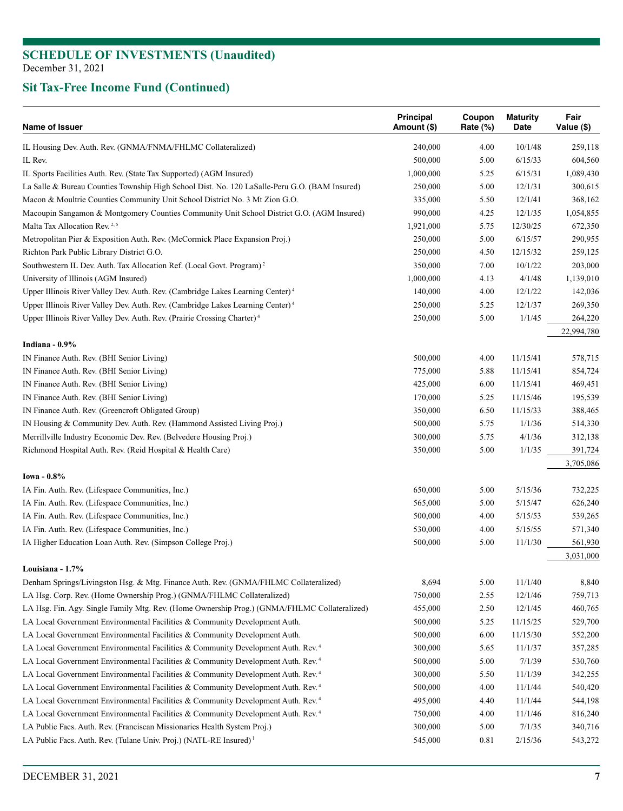| Name of Issuer                                                                                | Principal<br>Amount (\$) | Coupon<br>Rate (%) | <b>Maturity</b><br>Date | Fair<br>Value (\$)   |
|-----------------------------------------------------------------------------------------------|--------------------------|--------------------|-------------------------|----------------------|
| IL Housing Dev. Auth. Rev. (GNMA/FNMA/FHLMC Collateralized)                                   | 240,000                  | 4.00               | 10/1/48                 | 259,118              |
| IL Rev.                                                                                       | 500,000                  | 5.00               | 6/15/33                 | 604,560              |
| IL Sports Facilities Auth. Rev. (State Tax Supported) (AGM Insured)                           | 1,000,000                | 5.25               | 6/15/31                 | 1,089,430            |
| La Salle & Bureau Counties Township High School Dist. No. 120 LaSalle-Peru G.O. (BAM Insured) | 250,000                  | 5.00               | 12/1/31                 | 300,615              |
| Macon & Moultrie Counties Community Unit School District No. 3 Mt Zion G.O.                   | 335,000                  | 5.50               | 12/1/41                 | 368,162              |
| Macoupin Sangamon & Montgomery Counties Community Unit School District G.O. (AGM Insured)     | 990,000                  | 4.25               | 12/1/35                 | 1,054,855            |
| Malta Tax Allocation Rev. <sup>2,5</sup>                                                      | 1,921,000                | 5.75               | 12/30/25                | 672,350              |
| Metropolitan Pier & Exposition Auth. Rev. (McCormick Place Expansion Proj.)                   | 250,000                  | 5.00               | 6/15/57                 | 290,955              |
| Richton Park Public Library District G.O.                                                     | 250,000                  | 4.50               | 12/15/32                | 259,125              |
| Southwestern IL Dev. Auth. Tax Allocation Ref. (Local Govt. Program) <sup>2</sup>             | 350,000                  | 7.00               | 10/1/22                 | 203,000              |
| University of Illinois (AGM Insured)                                                          | 1,000,000                | 4.13               | 4/1/48                  | 1,139,010            |
| Upper Illinois River Valley Dev. Auth. Rev. (Cambridge Lakes Learning Center) <sup>4</sup>    | 140,000                  | 4.00               | 12/1/22                 | 142,036              |
| Upper Illinois River Valley Dev. Auth. Rev. (Cambridge Lakes Learning Center) <sup>4</sup>    | 250,000                  | 5.25               | 12/1/37                 | 269,350              |
| Upper Illinois River Valley Dev. Auth. Rev. (Prairie Crossing Charter) <sup>4</sup>           | 250,000                  | 5.00               | 1/1/45                  | 264,220              |
|                                                                                               |                          |                    |                         | 22,994,780           |
| Indiana - 0.9%<br>IN Finance Auth. Rev. (BHI Senior Living)                                   | 500,000                  | 4.00               | 11/15/41                | 578,715              |
| IN Finance Auth. Rev. (BHI Senior Living)                                                     | 775,000                  | 5.88               | 11/15/41                | 854,724              |
| IN Finance Auth. Rev. (BHI Senior Living)                                                     | 425,000                  | 6.00               | 11/15/41                | 469,451              |
| IN Finance Auth. Rev. (BHI Senior Living)                                                     | 170,000                  | 5.25               | 11/15/46                | 195,539              |
| IN Finance Auth. Rev. (Greencroft Obligated Group)                                            | 350,000                  | 6.50               | 11/15/33                | 388,465              |
| IN Housing & Community Dev. Auth. Rev. (Hammond Assisted Living Proj.)                        | 500,000                  | 5.75               | 1/1/36                  |                      |
|                                                                                               |                          |                    | 4/1/36                  | 514,330              |
| Merrillville Industry Economic Dev. Rev. (Belvedere Housing Proj.)                            | 300,000                  | 5.75               |                         | 312,138              |
| Richmond Hospital Auth. Rev. (Reid Hospital & Health Care)                                    | 350,000                  | 5.00               | 1/1/35                  | 391,724<br>3,705,086 |
| Iowa - 0.8%                                                                                   |                          |                    |                         |                      |
| IA Fin. Auth. Rev. (Lifespace Communities, Inc.)                                              | 650,000                  | 5.00               | 5/15/36                 | 732,225              |
| IA Fin. Auth. Rev. (Lifespace Communities, Inc.)                                              | 565,000                  | 5.00               | 5/15/47                 | 626,240              |
| IA Fin. Auth. Rev. (Lifespace Communities, Inc.)                                              | 500,000                  | 4.00               | 5/15/53                 | 539,265              |
| IA Fin. Auth. Rev. (Lifespace Communities, Inc.)                                              | 530,000                  | 4.00               | 5/15/55                 | 571,340              |
| IA Higher Education Loan Auth. Rev. (Simpson College Proj.)                                   | 500,000                  | 5.00               | 11/1/30                 | 561,930              |
|                                                                                               |                          |                    |                         | 3,031,000            |
| Louisiana - 1.7%                                                                              |                          |                    |                         |                      |
| Denham Springs/Livingston Hsg. & Mtg. Finance Auth. Rev. (GNMA/FHLMC Collateralized)          | 8,694                    | 5.00               | 11/1/40                 | 8,840                |
| LA Hsg. Corp. Rev. (Home Ownership Prog.) (GNMA/FHLMC Collateralized)                         | 750,000                  | 2.55               | 12/1/46                 | 759,713              |
| LA Hsg. Fin. Agy. Single Family Mtg. Rev. (Home Ownership Prog.) (GNMA/FHLMC Collateralized)  | 455,000                  | 2.50               | 12/1/45                 | 460,765              |
| LA Local Government Environmental Facilities & Community Development Auth.                    | 500,000                  | 5.25               | 11/15/25                | 529,700              |
| LA Local Government Environmental Facilities & Community Development Auth.                    | 500,000                  | 6.00               | 11/15/30                | 552,200              |
| LA Local Government Environmental Facilities & Community Development Auth. Rev. <sup>4</sup>  | 300,000                  | 5.65               | 11/1/37                 | 357,285              |
| LA Local Government Environmental Facilities & Community Development Auth. Rev. <sup>4</sup>  | 500,000                  | 5.00               | 7/1/39                  | 530,760              |
| LA Local Government Environmental Facilities & Community Development Auth. Rev. <sup>4</sup>  | 300,000                  | 5.50               | 11/1/39                 | 342,255              |
| LA Local Government Environmental Facilities & Community Development Auth. Rev. <sup>4</sup>  | 500,000                  | 4.00               | 11/1/44                 | 540,420              |
| LA Local Government Environmental Facilities & Community Development Auth. Rev. <sup>4</sup>  | 495,000                  | 4.40               | 11/1/44                 | 544,198              |
| LA Local Government Environmental Facilities & Community Development Auth. Rev. <sup>4</sup>  | 750,000                  | 4.00               | 11/1/46                 | 816,240              |
| LA Public Facs. Auth. Rev. (Franciscan Missionaries Health System Proj.)                      | 300,000                  | 5.00               | 7/1/35                  | 340,716              |
| LA Public Facs. Auth. Rev. (Tulane Univ. Proj.) (NATL-RE Insured) <sup>1</sup>                | 545,000                  | 0.81               | 2/15/36                 | 543,272              |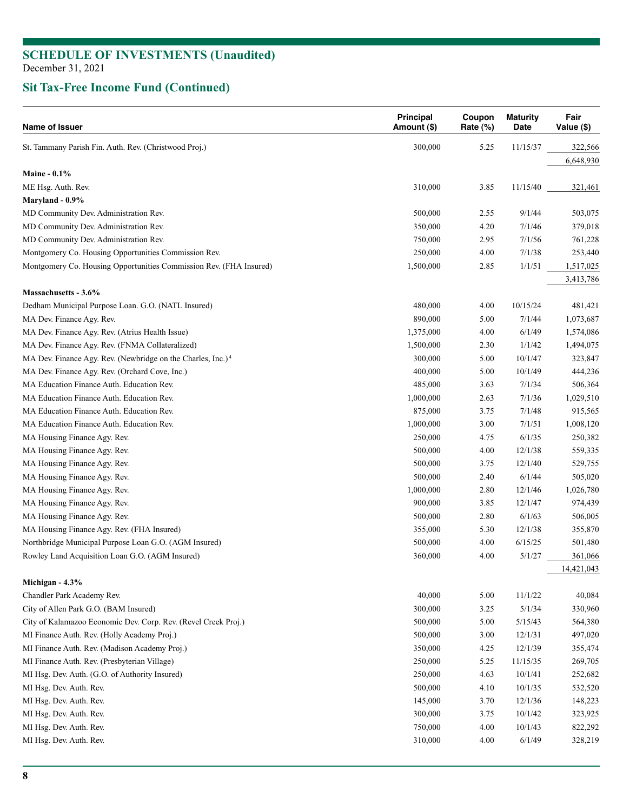| Name of Issuer                                                          | <b>Principal</b><br>Amount (\$) | Coupon<br>Rate (%) | <b>Maturity</b><br>Date | Fair<br>Value (\$) |
|-------------------------------------------------------------------------|---------------------------------|--------------------|-------------------------|--------------------|
| St. Tammany Parish Fin. Auth. Rev. (Christwood Proj.)                   | 300,000                         | 5.25               | 11/15/37                | 322,566            |
|                                                                         |                                 |                    |                         | 6,648,930          |
| Maine - $0.1\%$                                                         |                                 |                    |                         |                    |
| ME Hsg. Auth. Rev.                                                      | 310,000                         | 3.85               | 11/15/40                | 321,461            |
| Maryland - 0.9%                                                         |                                 |                    |                         |                    |
| MD Community Dev. Administration Rev.                                   | 500,000                         | 2.55               | 9/1/44                  | 503,075            |
| MD Community Dev. Administration Rev.                                   | 350,000                         | 4.20               | 7/1/46                  | 379,018            |
| MD Community Dev. Administration Rev.                                   | 750,000                         | 2.95               | 7/1/56                  | 761,228            |
| Montgomery Co. Housing Opportunities Commission Rev.                    | 250,000                         | 4.00               | 7/1/38                  | 253,440            |
| Montgomery Co. Housing Opportunities Commission Rev. (FHA Insured)      | 1,500,000                       | 2.85               | 1/1/51                  | 1,517,025          |
| Massachusetts - 3.6%                                                    |                                 |                    |                         | 3,413,786          |
| Dedham Municipal Purpose Loan. G.O. (NATL Insured)                      | 480,000                         | 4.00               | 10/15/24                | 481,421            |
| MA Dev. Finance Agy. Rev.                                               | 890,000                         | 5.00               | 7/1/44                  | 1,073,687          |
| MA Dev. Finance Agy. Rev. (Atrius Health Issue)                         | 1,375,000                       | 4.00               | 6/1/49                  | 1,574,086          |
| MA Dev. Finance Agy. Rev. (FNMA Collateralized)                         | 1,500,000                       | 2.30               | 1/1/42                  | 1,494,075          |
| MA Dev. Finance Agy. Rev. (Newbridge on the Charles, Inc.) <sup>4</sup> | 300,000                         | 5.00               | 10/1/47                 | 323,847            |
| MA Dev. Finance Agy. Rev. (Orchard Cove, Inc.)                          | 400,000                         | 5.00               | 10/1/49                 | 444,236            |
| MA Education Finance Auth. Education Rev.                               | 485,000                         | 3.63               | 7/1/34                  | 506,364            |
| MA Education Finance Auth. Education Rev.                               | 1,000,000                       | 2.63               | 7/1/36                  | 1,029,510          |
| MA Education Finance Auth. Education Rev.                               | 875,000                         | 3.75               | 7/1/48                  | 915,565            |
| MA Education Finance Auth. Education Rev.                               | 1,000,000                       | 3.00               | 7/1/51                  | 1,008,120          |
| MA Housing Finance Agy. Rev.                                            | 250,000                         | 4.75               | 6/1/35                  | 250,382            |
| MA Housing Finance Agy. Rev.                                            | 500,000                         | 4.00               | 12/1/38                 | 559,335            |
| MA Housing Finance Agy. Rev.                                            | 500,000                         | 3.75               | 12/1/40                 | 529,755            |
| MA Housing Finance Agy. Rev.                                            | 500,000                         | 2.40               | 6/1/44                  | 505,020            |
| MA Housing Finance Agy. Rev.                                            | 1,000,000                       | 2.80               | 12/1/46                 | 1,026,780          |
| MA Housing Finance Agy. Rev.                                            | 900,000                         | 3.85               | 12/1/47                 | 974,439            |
| MA Housing Finance Agy. Rev.                                            | 500,000                         | 2.80               | 6/1/63                  | 506,005            |
| MA Housing Finance Agy. Rev. (FHA Insured)                              | 355,000                         | 5.30               | 12/1/38                 | 355,870            |
| Northbridge Municipal Purpose Loan G.O. (AGM Insured)                   | 500,000                         | 4.00               | 6/15/25                 | 501,480            |
| Rowley Land Acquisition Loan G.O. (AGM Insured)                         | 360,000                         | 4.00               | 5/1/27                  | 361,066            |
|                                                                         |                                 |                    |                         | 14,421,043         |
| Michigan - 4.3%                                                         |                                 |                    |                         |                    |
| Chandler Park Academy Rev.                                              | 40,000                          | 5.00               | 11/1/22                 | 40,084             |
| City of Allen Park G.O. (BAM Insured)                                   | 300,000                         | 3.25               | 5/1/34                  | 330,960            |
| City of Kalamazoo Economic Dev. Corp. Rev. (Revel Creek Proj.)          | 500,000                         | 5.00               | 5/15/43                 | 564,380            |
| MI Finance Auth. Rev. (Holly Academy Proj.)                             | 500,000                         | 3.00               | 12/1/31                 | 497,020            |
| MI Finance Auth. Rev. (Madison Academy Proj.)                           | 350,000                         | 4.25               | 12/1/39                 | 355,474            |
| MI Finance Auth. Rev. (Presbyterian Village)                            | 250,000                         | 5.25               | 11/15/35                | 269,705            |
| MI Hsg. Dev. Auth. (G.O. of Authority Insured)                          | 250,000                         | 4.63               | 10/1/41                 | 252,682            |
| MI Hsg. Dev. Auth. Rev.                                                 | 500,000                         | 4.10               | 10/1/35                 | 532,520            |
| MI Hsg. Dev. Auth. Rev.                                                 | 145,000                         | 3.70               | 12/1/36                 | 148,223            |
| MI Hsg. Dev. Auth. Rev.                                                 | 300,000                         | 3.75               | 10/1/42                 | 323,925            |
| MI Hsg. Dev. Auth. Rev.                                                 | 750,000                         | 4.00               | 10/1/43                 | 822,292            |
| MI Hsg. Dev. Auth. Rev.                                                 | 310,000                         | 4.00               | 6/1/49                  | 328,219            |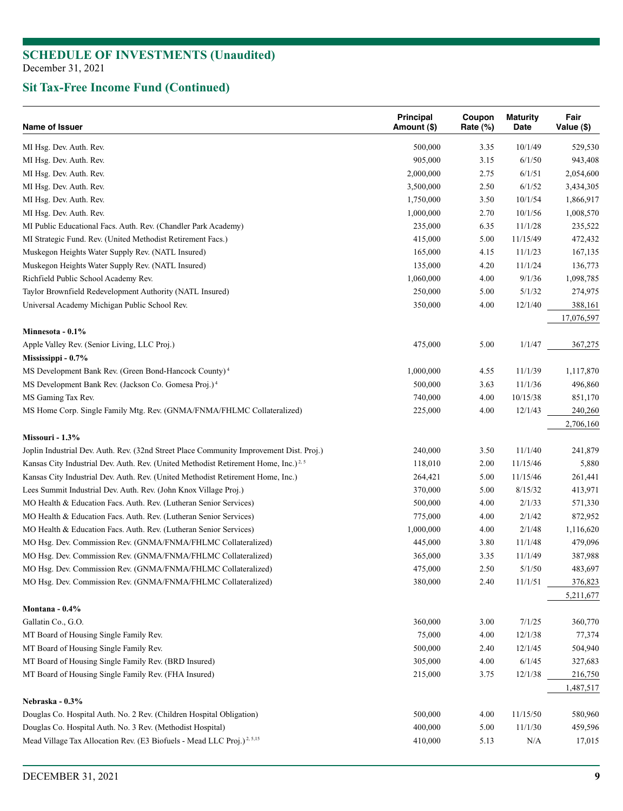| Name of Issuer                                                                                 | Principal<br>Amount (\$) | Coupon<br>Rate $(\%)$ | <b>Maturity</b><br>Date | Fair<br>Value (\$) |
|------------------------------------------------------------------------------------------------|--------------------------|-----------------------|-------------------------|--------------------|
| MI Hsg. Dev. Auth. Rev.                                                                        | 500,000                  | 3.35                  | 10/1/49                 | 529,530            |
| MI Hsg. Dev. Auth. Rev.                                                                        | 905,000                  | 3.15                  | 6/1/50                  | 943,408            |
| MI Hsg. Dev. Auth. Rev.                                                                        | 2,000,000                | 2.75                  | 6/1/51                  | 2,054,600          |
| MI Hsg. Dev. Auth. Rev.                                                                        | 3,500,000                | 2.50                  | 6/1/52                  | 3,434,305          |
| MI Hsg. Dev. Auth. Rev.                                                                        | 1,750,000                | 3.50                  | 10/1/54                 | 1,866,917          |
| MI Hsg. Dev. Auth. Rev.                                                                        | 1,000,000                | 2.70                  | 10/1/56                 | 1,008,570          |
| MI Public Educational Facs. Auth. Rev. (Chandler Park Academy)                                 | 235,000                  | 6.35                  | 11/1/28                 | 235,522            |
| MI Strategic Fund. Rev. (United Methodist Retirement Facs.)                                    | 415,000                  | 5.00                  | 11/15/49                | 472,432            |
| Muskegon Heights Water Supply Rev. (NATL Insured)                                              | 165,000                  | 4.15                  | 11/1/23                 | 167,135            |
| Muskegon Heights Water Supply Rev. (NATL Insured)                                              | 135,000                  | 4.20                  | 11/1/24                 | 136,773            |
| Richfield Public School Academy Rev.                                                           | 1,060,000                | 4.00                  | 9/1/36                  | 1,098,785          |
| Taylor Brownfield Redevelopment Authority (NATL Insured)                                       | 250,000                  | 5.00                  | 5/1/32                  | 274,975            |
| Universal Academy Michigan Public School Rev.                                                  | 350,000                  | 4.00                  | 12/1/40                 | 388,161            |
|                                                                                                |                          |                       |                         | 17,076,597         |
| Minnesota - 0.1%                                                                               |                          |                       |                         |                    |
| Apple Valley Rev. (Senior Living, LLC Proj.)                                                   | 475,000                  | 5.00                  | 1/1/47                  | 367,275            |
| Mississippi - 0.7%                                                                             |                          |                       |                         |                    |
| MS Development Bank Rev. (Green Bond-Hancock County) <sup>4</sup>                              | 1,000,000                | 4.55                  | 11/1/39                 | 1,117,870          |
| MS Development Bank Rev. (Jackson Co. Gomesa Proj.) <sup>4</sup>                               | 500,000                  | 3.63                  | 11/1/36                 | 496,860            |
| MS Gaming Tax Rev.                                                                             | 740,000                  | 4.00                  | 10/15/38                | 851,170            |
| MS Home Corp. Single Family Mtg. Rev. (GNMA/FNMA/FHLMC Collateralized)                         | 225,000                  | 4.00                  | 12/1/43                 | 240,260            |
|                                                                                                |                          |                       |                         | 2,706,160          |
| Missouri - 1.3%                                                                                |                          |                       |                         |                    |
| Joplin Industrial Dev. Auth. Rev. (32nd Street Place Community Improvement Dist. Proj.)        | 240,000                  | 3.50                  | 11/1/40                 | 241,879            |
| Kansas City Industrial Dev. Auth. Rev. (United Methodist Retirement Home, Inc.) <sup>2,5</sup> | 118,010                  | 2.00                  | 11/15/46                | 5,880              |
| Kansas City Industrial Dev. Auth. Rev. (United Methodist Retirement Home, Inc.)                | 264,421                  | 5.00                  | 11/15/46                | 261,441            |
| Lees Summit Industrial Dev. Auth. Rev. (John Knox Village Proj.)                               | 370,000                  | 5.00                  | 8/15/32                 | 413,971            |
| MO Health & Education Facs. Auth. Rev. (Lutheran Senior Services)                              | 500,000                  | 4.00                  | 2/1/33                  | 571,330            |
| MO Health & Education Facs. Auth. Rev. (Lutheran Senior Services)                              | 775,000                  | 4.00                  | 2/1/42                  | 872,952            |
| MO Health & Education Facs. Auth. Rev. (Lutheran Senior Services)                              | 1,000,000                | 4.00                  | 2/1/48                  | 1,116,620          |
| MO Hsg. Dev. Commission Rev. (GNMA/FNMA/FHLMC Collateralized)                                  | 445,000                  | 3.80                  | 11/1/48                 | 479,096            |
| MO Hsg. Dev. Commission Rev. (GNMA/FNMA/FHLMC Collateralized)                                  | 365,000                  | 3.35                  | 11/1/49                 | 387,988            |
| MO Hsg. Dev. Commission Rev. (GNMA/FNMA/FHLMC Collateralized)                                  | 475,000                  | 2.50                  | 5/1/50                  | 483,697            |
| MO Hsg. Dev. Commission Rev. (GNMA/FNMA/FHLMC Collateralized)                                  | 380,000                  | 2.40                  | 11/1/51                 | 376,823            |
|                                                                                                |                          |                       |                         | 5,211,677          |
| Montana - 0.4%                                                                                 |                          |                       |                         |                    |
| Gallatin Co., G.O.                                                                             | 360,000                  | 3.00                  | 7/1/25                  | 360,770            |
| MT Board of Housing Single Family Rev.                                                         | 75,000                   | 4.00                  | 12/1/38                 | 77,374             |
| MT Board of Housing Single Family Rev.                                                         | 500,000                  | 2.40                  | 12/1/45                 | 504,940            |
| MT Board of Housing Single Family Rev. (BRD Insured)                                           | 305,000                  | 4.00                  | 6/1/45                  | 327,683            |
| MT Board of Housing Single Family Rev. (FHA Insured)                                           | 215,000                  | 3.75                  | 12/1/38                 | 216,750            |
|                                                                                                |                          |                       |                         | 1,487,517          |
| Nebraska - 0.3%<br>Douglas Co. Hospital Auth. No. 2 Rev. (Children Hospital Obligation)        | 500,000                  | 4.00                  | 11/15/50                | 580,960            |
| Douglas Co. Hospital Auth. No. 3 Rev. (Methodist Hospital)                                     | 400,000                  | 5.00                  | 11/1/30                 | 459,596            |
| Mead Village Tax Allocation Rev. (E3 Biofuels - Mead LLC Proj.) <sup>2, 5,15</sup>             | 410,000                  | 5.13                  | N/A                     | 17,015             |
|                                                                                                |                          |                       |                         |                    |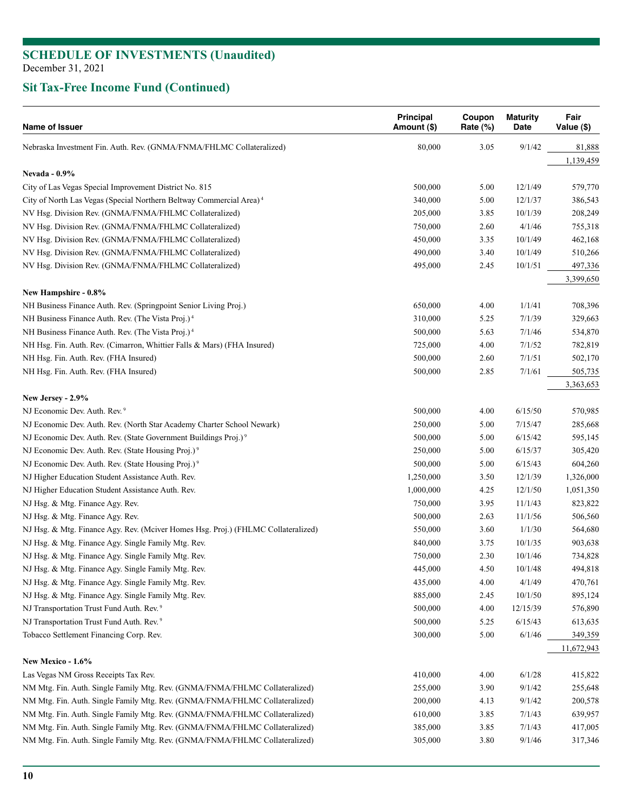| Name of Issuer                                                                    | Principal<br>Amount (\$) | Coupon<br>Rate (%) | <b>Maturity</b><br>Date | Fair<br>Value (\$) |
|-----------------------------------------------------------------------------------|--------------------------|--------------------|-------------------------|--------------------|
| Nebraska Investment Fin. Auth. Rev. (GNMA/FNMA/FHLMC Collateralized)              | 80,000                   | 3.05               | 9/1/42                  | 81,888             |
|                                                                                   |                          |                    |                         | 1,139,459          |
| <b>Nevada - 0.9%</b>                                                              |                          |                    |                         |                    |
| City of Las Vegas Special Improvement District No. 815                            | 500,000                  | 5.00               | 12/1/49                 | 579,770            |
| City of North Las Vegas (Special Northern Beltway Commercial Area) <sup>4</sup>   | 340,000                  | 5.00               | 12/1/37                 | 386,543            |
| NV Hsg. Division Rev. (GNMA/FNMA/FHLMC Collateralized)                            | 205,000                  | 3.85               | 10/1/39                 | 208,249            |
| NV Hsg. Division Rev. (GNMA/FNMA/FHLMC Collateralized)                            | 750,000                  | 2.60               | 4/1/46                  | 755,318            |
| NV Hsg. Division Rev. (GNMA/FNMA/FHLMC Collateralized)                            | 450,000                  | 3.35               | 10/1/49                 | 462,168            |
| NV Hsg. Division Rev. (GNMA/FNMA/FHLMC Collateralized)                            | 490,000                  | 3.40               | 10/1/49                 | 510,266            |
| NV Hsg. Division Rev. (GNMA/FNMA/FHLMC Collateralized)                            | 495,000                  | 2.45               | 10/1/51                 | 497,336            |
| New Hampshire - 0.8%                                                              |                          |                    |                         | 3,399,650          |
| NH Business Finance Auth. Rev. (Springpoint Senior Living Proj.)                  | 650,000                  | 4.00               | 1/1/41                  | 708,396            |
| NH Business Finance Auth. Rev. (The Vista Proj.) <sup>4</sup>                     | 310,000                  | 5.25               | 7/1/39                  | 329,663            |
| NH Business Finance Auth. Rev. (The Vista Proj.) <sup>4</sup>                     | 500,000                  | 5.63               | 7/1/46                  | 534,870            |
| NH Hsg. Fin. Auth. Rev. (Cimarron, Whittier Falls & Mars) (FHA Insured)           | 725,000                  | 4.00               | 7/1/52                  | 782,819            |
| NH Hsg. Fin. Auth. Rev. (FHA Insured)                                             | 500,000                  | 2.60               | 7/1/51                  | 502,170            |
| NH Hsg. Fin. Auth. Rev. (FHA Insured)                                             | 500,000                  | 2.85               | 7/1/61                  | 505,735            |
|                                                                                   |                          |                    |                         | 3,363,653          |
| New Jersey - 2.9%                                                                 |                          |                    |                         |                    |
| NJ Economic Dev. Auth. Rev. <sup>9</sup>                                          | 500,000                  | 4.00               | 6/15/50                 | 570,985            |
| NJ Economic Dev. Auth. Rev. (North Star Academy Charter School Newark)            | 250,000                  | 5.00               | 7/15/47                 | 285,668            |
| NJ Economic Dev. Auth. Rev. (State Government Buildings Proj.) <sup>9</sup>       | 500,000                  | 5.00               | 6/15/42                 | 595,145            |
| NJ Economic Dev. Auth. Rev. (State Housing Proj.) <sup>9</sup>                    | 250,000                  | 5.00               | 6/15/37                 | 305,420            |
| NJ Economic Dev. Auth. Rev. (State Housing Proj.) <sup>9</sup>                    | 500,000                  | 5.00               | 6/15/43                 | 604,260            |
| NJ Higher Education Student Assistance Auth. Rev.                                 | 1,250,000                | 3.50               | 12/1/39                 | 1,326,000          |
| NJ Higher Education Student Assistance Auth. Rev.                                 | 1,000,000                | 4.25               | 12/1/50                 | 1,051,350          |
| NJ Hsg. & Mtg. Finance Agy. Rev.                                                  | 750,000                  | 3.95               | 11/1/43                 | 823,822            |
| NJ Hsg. & Mtg. Finance Agy. Rev.                                                  | 500,000                  | 2.63               | 11/1/56                 | 506,560            |
| NJ Hsg. & Mtg. Finance Agy. Rev. (Mciver Homes Hsg. Proj.) (FHLMC Collateralized) | 550,000                  | 3.60               | 1/1/30                  | 564,680            |
| NJ Hsg. & Mtg. Finance Agy. Single Family Mtg. Rev.                               | 840,000                  | 3.75               | 10/1/35                 | 903,638            |
| NJ Hsg. & Mtg. Finance Agy. Single Family Mtg. Rev.                               | 750,000                  | 2.30               | 10/1/46                 | 734,828            |
| NJ Hsg. & Mtg. Finance Agy. Single Family Mtg. Rev.                               | 445,000                  | 4.50               | 10/1/48                 | 494,818            |
| NJ Hsg. & Mtg. Finance Agy. Single Family Mtg. Rev.                               | 435,000                  | 4.00               | 4/1/49                  | 470,761            |
| NJ Hsg. & Mtg. Finance Agy. Single Family Mtg. Rev.                               | 885,000                  | 2.45               | 10/1/50                 | 895,124            |
| NJ Transportation Trust Fund Auth. Rev. <sup>9</sup>                              | 500,000                  | 4.00               | 12/15/39                | 576,890            |
| NJ Transportation Trust Fund Auth. Rev. <sup>9</sup>                              | 500,000                  | 5.25               | 6/15/43                 | 613,635            |
| Tobacco Settlement Financing Corp. Rev.                                           | 300,000                  | 5.00               | 6/1/46                  | 349,359            |
|                                                                                   |                          |                    |                         | 11,672,943         |
| New Mexico - 1.6%                                                                 |                          |                    |                         |                    |
| Las Vegas NM Gross Receipts Tax Rev.                                              | 410,000                  | 4.00               | 6/1/28                  | 415,822            |
| NM Mtg. Fin. Auth. Single Family Mtg. Rev. (GNMA/FNMA/FHLMC Collateralized)       | 255,000                  | 3.90               | 9/1/42                  | 255,648            |
| NM Mtg. Fin. Auth. Single Family Mtg. Rev. (GNMA/FNMA/FHLMC Collateralized)       | 200,000                  | 4.13               | 9/1/42                  | 200,578            |
| NM Mtg. Fin. Auth. Single Family Mtg. Rev. (GNMA/FNMA/FHLMC Collateralized)       | 610,000                  | 3.85               | 7/1/43                  | 639,957            |
| NM Mtg. Fin. Auth. Single Family Mtg. Rev. (GNMA/FNMA/FHLMC Collateralized)       | 385,000                  | 3.85               | 7/1/43                  | 417,005            |
| NM Mtg. Fin. Auth. Single Family Mtg. Rev. (GNMA/FNMA/FHLMC Collateralized)       | 305,000                  | 3.80               | 9/1/46                  | 317,346            |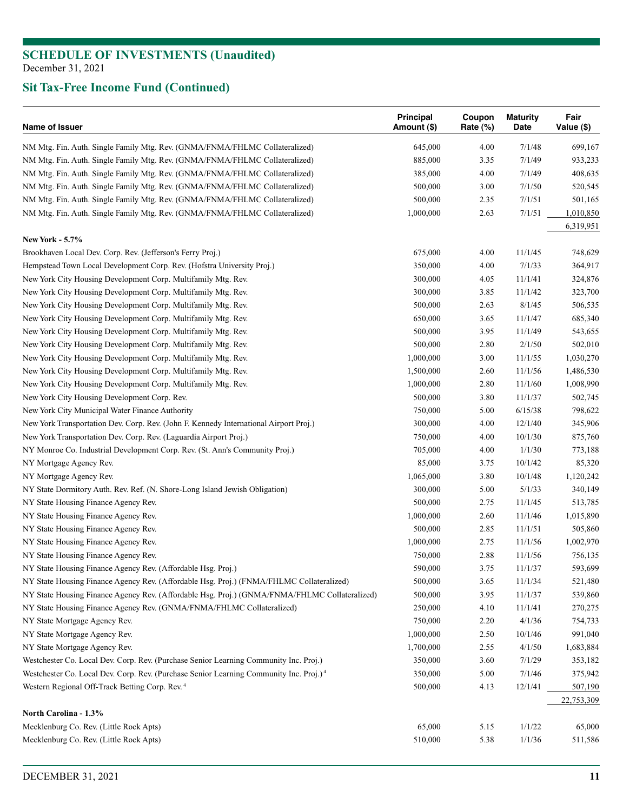| Name of Issuer                                                                                     | <b>Principal</b><br>Amount (\$) | Coupon<br>Rate (%) | <b>Maturity</b><br>Date | Fair<br>Value (\$) |
|----------------------------------------------------------------------------------------------------|---------------------------------|--------------------|-------------------------|--------------------|
| NM Mtg. Fin. Auth. Single Family Mtg. Rev. (GNMA/FNMA/FHLMC Collateralized)                        | 645,000                         | 4.00               | 7/1/48                  | 699,167            |
| NM Mtg. Fin. Auth. Single Family Mtg. Rev. (GNMA/FNMA/FHLMC Collateralized)                        | 885,000                         | 3.35               | 7/1/49                  | 933,233            |
| NM Mtg. Fin. Auth. Single Family Mtg. Rev. (GNMA/FNMA/FHLMC Collateralized)                        | 385,000                         | 4.00               | 7/1/49                  | 408,635            |
| NM Mtg. Fin. Auth. Single Family Mtg. Rev. (GNMA/FNMA/FHLMC Collateralized)                        | 500,000                         | 3.00               | 7/1/50                  | 520,545            |
| NM Mtg. Fin. Auth. Single Family Mtg. Rev. (GNMA/FNMA/FHLMC Collateralized)                        | 500,000                         | 2.35               | 7/1/51                  | 501,165            |
| NM Mtg. Fin. Auth. Single Family Mtg. Rev. (GNMA/FNMA/FHLMC Collateralized)                        | 1,000,000                       | 2.63               | 7/1/51                  | 1,010,850          |
|                                                                                                    |                                 |                    |                         | 6,319,951          |
| <b>New York - 5.7%</b>                                                                             |                                 |                    |                         |                    |
| Brookhaven Local Dev. Corp. Rev. (Jefferson's Ferry Proj.)                                         | 675,000                         | 4.00               | 11/1/45                 | 748,629            |
| Hempstead Town Local Development Corp. Rev. (Hofstra University Proj.)                             | 350,000                         | 4.00               | 7/1/33                  | 364,917            |
| New York City Housing Development Corp. Multifamily Mtg. Rev.                                      | 300,000                         | 4.05               | 11/1/41                 | 324,876            |
| New York City Housing Development Corp. Multifamily Mtg. Rev.                                      | 300,000                         | 3.85               | 11/1/42                 | 323,700            |
| New York City Housing Development Corp. Multifamily Mtg. Rev.                                      | 500,000                         | 2.63               | 8/1/45                  | 506,535            |
| New York City Housing Development Corp. Multifamily Mtg. Rev.                                      | 650,000                         | 3.65               | 11/1/47                 | 685,340            |
| New York City Housing Development Corp. Multifamily Mtg. Rev.                                      | 500,000                         | 3.95               | 11/1/49                 | 543,655            |
| New York City Housing Development Corp. Multifamily Mtg. Rev.                                      | 500,000                         | 2.80               | 2/1/50                  | 502,010            |
| New York City Housing Development Corp. Multifamily Mtg. Rev.                                      | 1,000,000                       | 3.00               | 11/1/55                 | 1,030,270          |
| New York City Housing Development Corp. Multifamily Mtg. Rev.                                      | 1,500,000                       | 2.60               | 11/1/56                 | 1,486,530          |
| New York City Housing Development Corp. Multifamily Mtg. Rev.                                      | 1,000,000                       | 2.80               | 11/1/60                 | 1,008,990          |
| New York City Housing Development Corp. Rev.                                                       | 500,000                         | 3.80               | 11/1/37                 | 502,745            |
| New York City Municipal Water Finance Authority                                                    | 750,000                         | 5.00               | 6/15/38                 | 798,622            |
| New York Transportation Dev. Corp. Rev. (John F. Kennedy International Airport Proj.)              | 300,000                         | 4.00               | 12/1/40                 | 345,906            |
| New York Transportation Dev. Corp. Rev. (Laguardia Airport Proj.)                                  | 750,000                         | 4.00               | 10/1/30                 | 875,760            |
| NY Monroe Co. Industrial Development Corp. Rev. (St. Ann's Community Proj.)                        | 705,000                         | 4.00               | 1/1/30                  | 773,188            |
| NY Mortgage Agency Rev.                                                                            | 85,000                          | 3.75               | 10/1/42                 | 85,320             |
| NY Mortgage Agency Rev.                                                                            | 1,065,000                       | 3.80               | 10/1/48                 | 1,120,242          |
| NY State Dormitory Auth. Rev. Ref. (N. Shore-Long Island Jewish Obligation)                        | 300,000                         | 5.00               | 5/1/33                  | 340,149            |
| NY State Housing Finance Agency Rev.                                                               | 500,000                         | 2.75               | 11/1/45                 | 513,785            |
| NY State Housing Finance Agency Rev.                                                               | 1,000,000                       | 2.60               | 11/1/46                 | 1,015,890          |
| NY State Housing Finance Agency Rev.                                                               | 500,000                         | 2.85               | 11/1/51                 | 505,860            |
| NY State Housing Finance Agency Rev.                                                               | 1,000,000                       | 2.75               | 11/1/56                 | 1,002,970          |
| NY State Housing Finance Agency Rev.                                                               | 750,000                         | 2.88               | 11/1/56                 | 756,135            |
| NY State Housing Finance Agency Rev. (Affordable Hsg. Proj.)                                       | 590,000                         | 3.75               | 11/1/37                 | 593,699            |
| NY State Housing Finance Agency Rev. (Affordable Hsg. Proj.) (FNMA/FHLMC Collateralized)           | 500,000                         | 3.65               | 11/1/34                 | 521,480            |
| NY State Housing Finance Agency Rev. (Affordable Hsg. Proj.) (GNMA/FNMA/FHLMC Collateralized)      | 500,000                         | 3.95               | 11/1/37                 | 539,860            |
| NY State Housing Finance Agency Rev. (GNMA/FNMA/FHLMC Collateralized)                              | 250,000                         | 4.10               | 11/1/41                 | 270,275            |
| NY State Mortgage Agency Rev.                                                                      | 750,000                         | 2.20               | 4/1/36                  | 754,733            |
| NY State Mortgage Agency Rev.                                                                      | 1,000,000                       | 2.50               | 10/1/46                 | 991,040            |
| NY State Mortgage Agency Rev.                                                                      | 1,700,000                       | 2.55               | 4/1/50                  | 1,683,884          |
| Westchester Co. Local Dev. Corp. Rev. (Purchase Senior Learning Community Inc. Proj.)              | 350,000                         | 3.60               | 7/1/29                  | 353,182            |
| Westchester Co. Local Dev. Corp. Rev. (Purchase Senior Learning Community Inc. Proj.) <sup>4</sup> | 350,000                         | 5.00               | 7/1/46                  | 375,942            |
| Western Regional Off-Track Betting Corp. Rev. <sup>4</sup>                                         | 500,000                         | 4.13               | 12/1/41                 | 507,190            |
|                                                                                                    |                                 |                    |                         | 22,753,309         |
| North Carolina - 1.3%                                                                              |                                 |                    |                         |                    |
| Mecklenburg Co. Rev. (Little Rock Apts)                                                            | 65,000                          | 5.15               | 1/1/22                  | 65,000             |
| Mecklenburg Co. Rev. (Little Rock Apts)                                                            | 510,000                         | 5.38               | 1/1/36                  | 511,586            |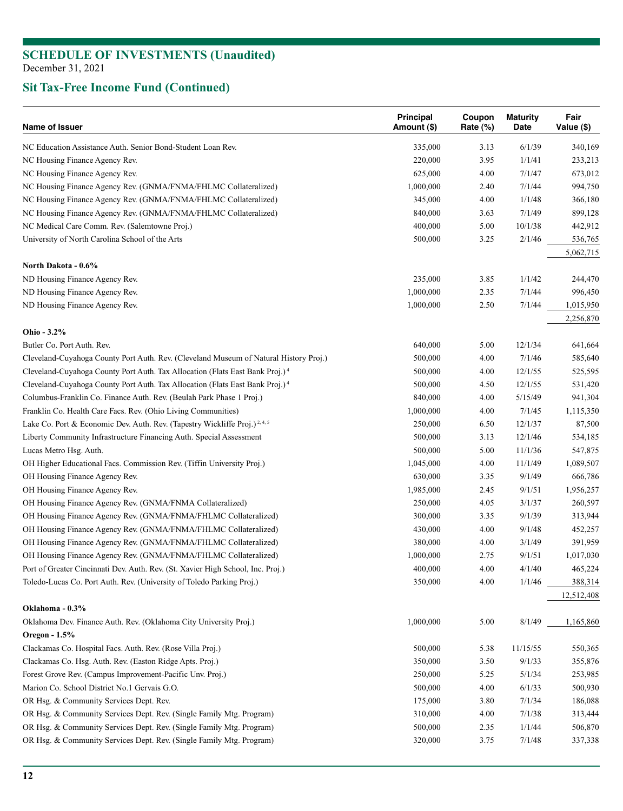| <b>Name of Issuer</b>                                                                    | <b>Principal</b><br>Amount (\$) | Coupon<br>Rate $(\%)$ | <b>Maturity</b><br>Date | Fair<br>Value (\$) |
|------------------------------------------------------------------------------------------|---------------------------------|-----------------------|-------------------------|--------------------|
| NC Education Assistance Auth. Senior Bond-Student Loan Rev.                              | 335,000                         | 3.13                  | 6/1/39                  | 340,169            |
| NC Housing Finance Agency Rev.                                                           | 220,000                         | 3.95                  | 1/1/41                  | 233,213            |
| NC Housing Finance Agency Rev.                                                           | 625,000                         | 4.00                  | 7/1/47                  | 673,012            |
| NC Housing Finance Agency Rev. (GNMA/FNMA/FHLMC Collateralized)                          | 1,000,000                       | 2.40                  | 7/1/44                  | 994,750            |
| NC Housing Finance Agency Rev. (GNMA/FNMA/FHLMC Collateralized)                          | 345,000                         | 4.00                  | 1/1/48                  | 366,180            |
| NC Housing Finance Agency Rev. (GNMA/FNMA/FHLMC Collateralized)                          | 840,000                         | 3.63                  | 7/1/49                  | 899,128            |
| NC Medical Care Comm. Rev. (Salemtowne Proj.)                                            | 400,000                         | 5.00                  | 10/1/38                 | 442,912            |
| University of North Carolina School of the Arts                                          | 500,000                         | 3.25                  | 2/1/46                  | 536,765            |
|                                                                                          |                                 |                       |                         | 5,062,715          |
| North Dakota - 0.6%<br>ND Housing Finance Agency Rev.                                    | 235,000                         | 3.85                  | 1/1/42                  | 244,470            |
| ND Housing Finance Agency Rev.                                                           | 1,000,000                       | 2.35                  | 7/1/44                  | 996,450            |
| ND Housing Finance Agency Rev.                                                           | 1,000,000                       | 2.50                  | 7/1/44                  | 1,015,950          |
|                                                                                          |                                 |                       |                         | 2,256,870          |
| Ohio - 3.2%                                                                              |                                 |                       |                         |                    |
| Butler Co. Port Auth. Rev.                                                               | 640,000                         | 5.00                  | 12/1/34                 | 641,664            |
| Cleveland-Cuyahoga County Port Auth. Rev. (Cleveland Museum of Natural History Proj.)    | 500,000                         | 4.00                  | 7/1/46                  | 585,640            |
| Cleveland-Cuyahoga County Port Auth. Tax Allocation (Flats East Bank Proj.) <sup>4</sup> | 500,000                         | 4.00                  | 12/1/55                 | 525,595            |
| Cleveland-Cuyahoga County Port Auth. Tax Allocation (Flats East Bank Proj.) <sup>4</sup> | 500,000                         | 4.50                  | 12/1/55                 | 531,420            |
| Columbus-Franklin Co. Finance Auth. Rev. (Beulah Park Phase 1 Proj.)                     | 840,000                         | 4.00                  | 5/15/49                 | 941,304            |
| Franklin Co. Health Care Facs. Rev. (Ohio Living Communities)                            | 1,000,000                       | 4.00                  | 7/1/45                  | 1,115,350          |
| Lake Co. Port & Economic Dev. Auth. Rev. (Tapestry Wickliffe Proj.) <sup>2,4,5</sup>     | 250,000                         | 6.50                  | 12/1/37                 | 87,500             |
| Liberty Community Infrastructure Financing Auth. Special Assessment                      | 500,000                         | 3.13                  | 12/1/46                 | 534,185            |
| Lucas Metro Hsg. Auth.                                                                   | 500,000                         | 5.00                  | 11/1/36                 | 547,875            |
| OH Higher Educational Facs. Commission Rev. (Tiffin University Proj.)                    | 1,045,000                       | 4.00                  | 11/1/49                 | 1,089,507          |
| OH Housing Finance Agency Rev.                                                           | 630,000                         | 3.35                  | 9/1/49                  | 666,786            |
| OH Housing Finance Agency Rev.                                                           | 1,985,000                       | 2.45                  | 9/1/51                  | 1,956,257          |
| OH Housing Finance Agency Rev. (GNMA/FNMA Collateralized)                                | 250,000                         | 4.05                  | 3/1/37                  | 260,597            |
| OH Housing Finance Agency Rev. (GNMA/FNMA/FHLMC Collateralized)                          | 300,000                         | 3.35                  | 9/1/39                  | 313,944            |
| OH Housing Finance Agency Rev. (GNMA/FNMA/FHLMC Collateralized)                          | 430,000                         | 4.00                  | 9/1/48                  | 452,257            |
| OH Housing Finance Agency Rev. (GNMA/FNMA/FHLMC Collateralized)                          | 380,000                         | 4.00                  | 3/1/49                  | 391,959            |
| OH Housing Finance Agency Rev. (GNMA/FNMA/FHLMC Collateralized)                          | 1,000,000                       | 2.75                  | 9/1/51                  | 1,017,030          |
| Port of Greater Cincinnati Dev. Auth. Rev. (St. Xavier High School, Inc. Proj.)          | 400,000                         | 4.00                  | 4/1/40                  | 465,224            |
| Toledo-Lucas Co. Port Auth. Rev. (University of Toledo Parking Proj.)                    | 350,000                         | 4.00                  | 1/1/46                  | 388,314            |
|                                                                                          |                                 |                       |                         | 12,512,408         |
| Oklahoma - 0.3%                                                                          |                                 |                       |                         |                    |
| Oklahoma Dev. Finance Auth. Rev. (Oklahoma City University Proj.)                        | 1,000,000                       | 5.00                  | 8/1/49                  | 1,165,860          |
| Oregon - 1.5%                                                                            |                                 |                       |                         |                    |
| Clackamas Co. Hospital Facs. Auth. Rev. (Rose Villa Proj.)                               | 500,000                         | 5.38                  | 11/15/55                | 550,365            |
| Clackamas Co. Hsg. Auth. Rev. (Easton Ridge Apts. Proj.)                                 | 350,000                         | 3.50                  | 9/1/33                  | 355,876            |
| Forest Grove Rev. (Campus Improvement-Pacific Unv. Proj.)                                | 250,000                         | 5.25                  | 5/1/34                  | 253,985            |
| Marion Co. School District No.1 Gervais G.O.                                             | 500,000                         | 4.00                  | 6/1/33                  | 500,930            |
| OR Hsg. & Community Services Dept. Rev.                                                  | 175,000                         | 3.80                  | 7/1/34                  | 186,088            |
| OR Hsg. & Community Services Dept. Rev. (Single Family Mtg. Program)                     | 310,000                         | 4.00                  | 7/1/38                  | 313,444            |
| OR Hsg. & Community Services Dept. Rev. (Single Family Mtg. Program)                     | 500,000                         | 2.35                  | 1/1/44                  | 506,870            |
| OR Hsg. & Community Services Dept. Rev. (Single Family Mtg. Program)                     | 320,000                         | 3.75                  | 7/1/48                  | 337,338            |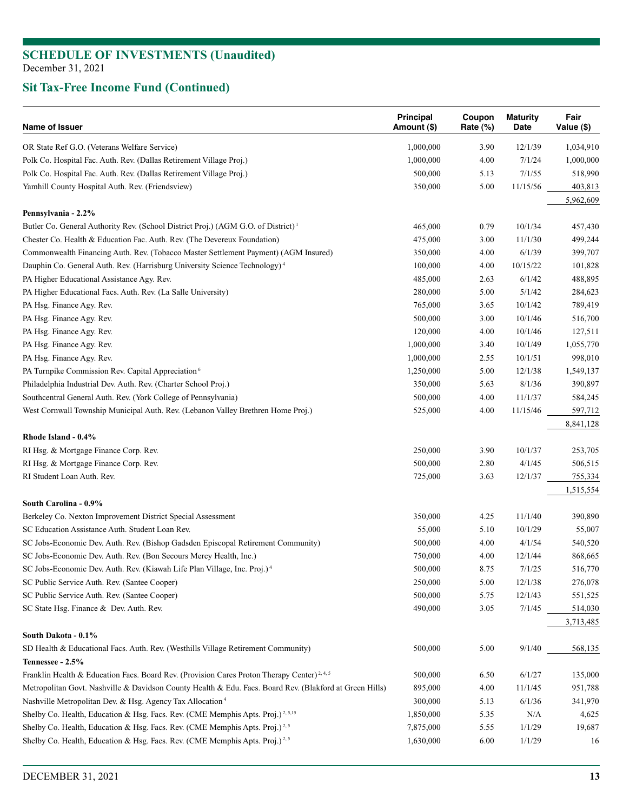| Name of Issuer                                                                                          | <b>Principal</b><br>Amount (\$) | Coupon<br>Rate (%) | <b>Maturity</b><br>Date | Fair<br>Value (\$) |
|---------------------------------------------------------------------------------------------------------|---------------------------------|--------------------|-------------------------|--------------------|
| OR State Ref G.O. (Veterans Welfare Service)                                                            | 1,000,000                       | 3.90               | 12/1/39                 | 1,034,910          |
| Polk Co. Hospital Fac. Auth. Rev. (Dallas Retirement Village Proj.)                                     | 1,000,000                       | 4.00               | 7/1/24                  | 1,000,000          |
| Polk Co. Hospital Fac. Auth. Rev. (Dallas Retirement Village Proj.)                                     | 500,000                         | 5.13               | 7/1/55                  | 518,990            |
| Yamhill County Hospital Auth. Rev. (Friendsview)                                                        | 350,000                         | 5.00               | 11/15/56                | 403,813            |
|                                                                                                         |                                 |                    |                         | 5,962,609          |
| Pennsylvania - 2.2%                                                                                     |                                 |                    |                         |                    |
| Butler Co. General Authority Rev. (School District Proj.) (AGM G.O. of District) <sup>1</sup>           | 465,000                         | 0.79               | 10/1/34                 | 457,430            |
| Chester Co. Health & Education Fac. Auth. Rev. (The Devereux Foundation)                                | 475,000                         | 3.00               | 11/1/30                 | 499,244            |
| Commonwealth Financing Auth. Rev. (Tobacco Master Settlement Payment) (AGM Insured)                     | 350,000                         | 4.00               | 6/1/39                  | 399,707            |
| Dauphin Co. General Auth. Rev. (Harrisburg University Science Technology) <sup>4</sup>                  | 100,000                         | 4.00               | 10/15/22                | 101,828            |
| PA Higher Educational Assistance Agy. Rev.                                                              | 485,000                         | 2.63               | 6/1/42                  | 488,895            |
| PA Higher Educational Facs. Auth. Rev. (La Salle University)                                            | 280,000                         | 5.00               | 5/1/42                  | 284,623            |
| PA Hsg. Finance Agy. Rev.                                                                               | 765,000                         | 3.65               | 10/1/42                 | 789,419            |
| PA Hsg. Finance Agy. Rev.                                                                               | 500,000                         | 3.00               | 10/1/46                 | 516,700            |
| PA Hsg. Finance Agy. Rev.                                                                               | 120,000                         | 4.00               | 10/1/46                 | 127,511            |
| PA Hsg. Finance Agy. Rev.                                                                               | 1,000,000                       | 3.40               | 10/1/49                 | 1,055,770          |
| PA Hsg. Finance Agy. Rev.                                                                               | 1,000,000                       | 2.55               | 10/1/51                 | 998,010            |
| PA Turnpike Commission Rev. Capital Appreciation <sup>6</sup>                                           | 1,250,000                       | 5.00               | 12/1/38                 | 1,549,137          |
| Philadelphia Industrial Dev. Auth. Rev. (Charter School Proj.)                                          | 350,000                         | 5.63               | 8/1/36                  | 390,897            |
| Southcentral General Auth. Rev. (York College of Pennsylvania)                                          | 500,000                         | 4.00               | 11/1/37                 | 584,245            |
| West Cornwall Township Municipal Auth. Rev. (Lebanon Valley Brethren Home Proj.)                        | 525,000                         | 4.00               | 11/15/46                | 597,712            |
|                                                                                                         |                                 |                    |                         | 8,841,128          |
| Rhode Island - 0.4%                                                                                     |                                 |                    |                         |                    |
| RI Hsg. & Mortgage Finance Corp. Rev.                                                                   | 250,000                         | 3.90               | 10/1/37                 | 253,705            |
| RI Hsg. & Mortgage Finance Corp. Rev.                                                                   | 500,000                         | 2.80               | 4/1/45                  | 506,515            |
| RI Student Loan Auth. Rev.                                                                              | 725,000                         | 3.63               | 12/1/37                 | 755,334            |
|                                                                                                         |                                 |                    |                         | 1,515,554          |
| South Carolina - 0.9%                                                                                   |                                 |                    |                         |                    |
| Berkeley Co. Nexton Improvement District Special Assessment                                             | 350,000                         | 4.25               | 11/1/40                 | 390,890            |
| SC Education Assistance Auth. Student Loan Rev.                                                         | 55,000                          | 5.10               | 10/1/29                 | 55,007             |
| SC Jobs-Economic Dev. Auth. Rev. (Bishop Gadsden Episcopal Retirement Community)                        | 500,000                         | 4.00               | 4/1/54                  | 540,520            |
| SC Jobs-Economic Dev. Auth. Rev. (Bon Secours Mercy Health, Inc.)                                       | 750,000                         | 4.00               | 12/1/44                 | 868,665            |
| SC Jobs-Economic Dev. Auth. Rev. (Kiawah Life Plan Village, Inc. Proj.) <sup>4</sup>                    | 500,000                         | 8.75               | 7/1/25                  | 516,770            |
| SC Public Service Auth. Rev. (Santee Cooper)                                                            | 250,000                         | 5.00               | 12/1/38                 | 276,078            |
| SC Public Service Auth. Rev. (Santee Cooper)                                                            | 500,000                         | 5.75               | 12/1/43                 | 551,525            |
| SC State Hsg. Finance & Dev. Auth. Rev.                                                                 | 490,000                         | 3.05               | 7/1/45                  | 514,030            |
|                                                                                                         |                                 |                    |                         | 3,713,485          |
| South Dakota - 0.1%                                                                                     |                                 |                    |                         |                    |
| SD Health & Educational Facs. Auth. Rev. (Westhills Village Retirement Community)                       | 500,000                         | 5.00               | 9/1/40                  | 568,135            |
| Tennessee - 2.5%                                                                                        |                                 |                    |                         |                    |
| Franklin Health & Education Facs. Board Rev. (Provision Cares Proton Therapy Center) <sup>2, 4, 5</sup> | 500,000                         | 6.50               | 6/1/27                  | 135,000            |
| Metropolitan Govt. Nashville & Davidson County Health & Edu. Facs. Board Rev. (Blakford at Green Hills) | 895,000                         | 4.00               | 11/1/45                 | 951,788            |
| Nashville Metropolitan Dev. & Hsg. Agency Tax Allocation <sup>4</sup>                                   | 300,000                         | 5.13               | 6/1/36                  | 341,970            |
| Shelby Co. Health, Education & Hsg. Facs. Rev. (CME Memphis Apts. Proj.) <sup>2, 5,15</sup>             | 1,850,000                       | 5.35               | N/A                     | 4,625              |
| Shelby Co. Health, Education & Hsg. Facs. Rev. (CME Memphis Apts. Proj.) <sup>2,5</sup>                 | 7,875,000                       | 5.55               | 1/1/29                  | 19,687             |
| Shelby Co. Health, Education & Hsg. Facs. Rev. (CME Memphis Apts. Proj.) <sup>2,5</sup>                 | 1,630,000                       | 6.00               | 1/1/29                  | 16                 |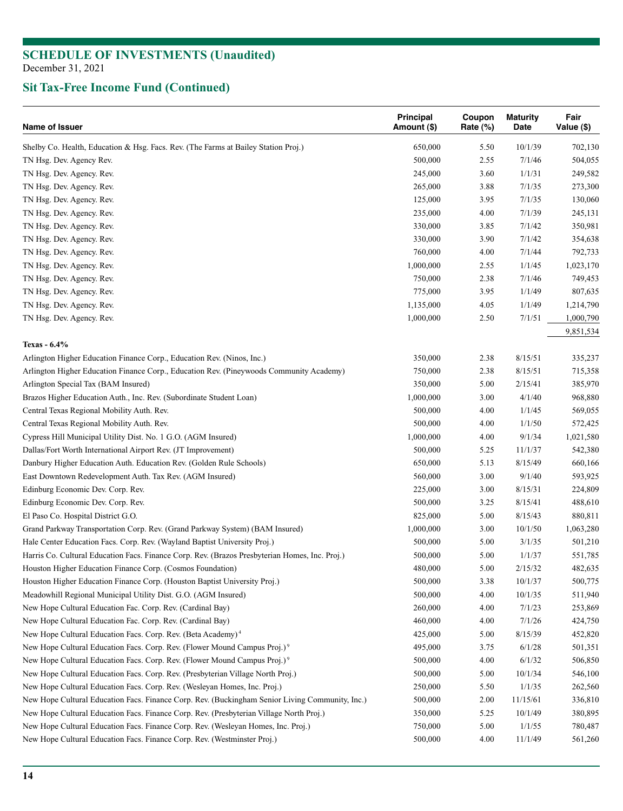| Shelby Co. Health, Education & Hsg. Facs. Rev. (The Farms at Bailey Station Proj.)<br>650,000<br>5.50<br>10/1/39<br>702,130<br>500,000<br>2.55<br>7/1/46<br>504,055<br>TN Hsg. Dev. Agency Rev.<br>TN Hsg. Dev. Agency. Rev.<br>245,000<br>3.60<br>1/1/31<br>249,582<br>TN Hsg. Dev. Agency. Rev.<br>265,000<br>3.88<br>7/1/35<br>273,300<br>TN Hsg. Dev. Agency. Rev.<br>125,000<br>3.95<br>7/1/35<br>130,060<br>TN Hsg. Dev. Agency. Rev.<br>235,000<br>4.00<br>7/1/39<br>245,131<br>7/1/42<br>TN Hsg. Dev. Agency. Rev.<br>330,000<br>3.85<br>350,981<br>3.90<br>TN Hsg. Dev. Agency. Rev.<br>330,000<br>7/1/42<br>354,638<br>760,000<br>4.00<br>7/1/44<br>TN Hsg. Dev. Agency. Rev.<br>792,733<br>TN Hsg. Dev. Agency. Rev.<br>1,000,000<br>2.55<br>1/1/45<br>1,023,170<br>TN Hsg. Dev. Agency. Rev.<br>750,000<br>2.38<br>7/1/46<br>749,453<br>TN Hsg. Dev. Agency. Rev.<br>775,000<br>3.95<br>1/1/49<br>807,635<br>TN Hsg. Dev. Agency. Rev.<br>1,135,000<br>4.05<br>1/1/49<br>1,214,790<br>TN Hsg. Dev. Agency. Rev.<br>1,000,000<br>2.50<br>7/1/51<br>1,000,790<br>9,851,534<br>Texas - 6.4%<br>Arlington Higher Education Finance Corp., Education Rev. (Ninos, Inc.)<br>350,000<br>2.38<br>8/15/51<br>335,237<br>Arlington Higher Education Finance Corp., Education Rev. (Pineywoods Community Academy)<br>750,000<br>2.38<br>8/15/51<br>715,358<br>Arlington Special Tax (BAM Insured)<br>350,000<br>5.00<br>2/15/41<br>385,970<br>Brazos Higher Education Auth., Inc. Rev. (Subordinate Student Loan)<br>1,000,000<br>3.00<br>4/1/40<br>968,880<br>Central Texas Regional Mobility Auth. Rev.<br>500,000<br>4.00<br>1/1/45<br>569,055<br>Central Texas Regional Mobility Auth. Rev.<br>500,000<br>4.00<br>1/1/50<br>572,425<br>Cypress Hill Municipal Utility Dist. No. 1 G.O. (AGM Insured)<br>1,000,000<br>4.00<br>9/1/34<br>1,021,580<br>Dallas/Fort Worth International Airport Rev. (JT Improvement)<br>500,000<br>5.25<br>11/1/37<br>542,380<br>Danbury Higher Education Auth. Education Rev. (Golden Rule Schools)<br>650,000<br>5.13<br>8/15/49<br>660,166<br>East Downtown Redevelopment Auth. Tax Rev. (AGM Insured)<br>560,000<br>3.00<br>9/1/40<br>593,925<br>Edinburg Economic Dev. Corp. Rev.<br>225,000<br>3.00<br>8/15/31<br>224,809<br>Edinburg Economic Dev. Corp. Rev.<br>500,000<br>3.25<br>8/15/41<br>488,610<br>El Paso Co. Hospital District G.O.<br>825,000<br>5.00<br>8/15/43<br>880,811<br>Grand Parkway Transportation Corp. Rev. (Grand Parkway System) (BAM Insured)<br>1,000,000<br>3.00<br>10/1/50<br>1,063,280<br>Hale Center Education Facs. Corp. Rev. (Wayland Baptist University Proj.)<br>500,000<br>5.00<br>3/1/35<br>501,210<br>Harris Co. Cultural Education Facs. Finance Corp. Rev. (Brazos Presbyterian Homes, Inc. Proj.)<br>5.00<br>1/1/37<br>551,785<br>500,000<br>Houston Higher Education Finance Corp. (Cosmos Foundation)<br>480,000<br>5.00<br>2/15/32<br>482,635<br>Houston Higher Education Finance Corp. (Houston Baptist University Proj.)<br>500,000<br>10/1/37<br>500,775<br>3.38<br>Meadowhill Regional Municipal Utility Dist. G.O. (AGM Insured)<br>500,000<br>4.00<br>10/1/35<br>511,940<br>7/1/23<br>New Hope Cultural Education Fac. Corp. Rev. (Cardinal Bay)<br>260,000<br>4.00<br>253,869<br>7/1/26<br>New Hope Cultural Education Fac. Corp. Rev. (Cardinal Bay)<br>460,000<br>4.00<br>424,750<br>New Hope Cultural Education Facs. Corp. Rev. (Beta Academy) <sup>4</sup><br>425,000<br>5.00<br>8/15/39<br>452,820<br>New Hope Cultural Education Facs. Corp. Rev. (Flower Mound Campus Proj.) <sup>9</sup><br>495,000<br>6/1/28<br>3.75<br>501,351<br>6/1/32<br>New Hope Cultural Education Facs. Corp. Rev. (Flower Mound Campus Proj.) <sup>9</sup><br>500,000<br>4.00<br>506,850<br>New Hope Cultural Education Facs. Corp. Rev. (Presbyterian Village North Proj.)<br>500,000<br>5.00<br>10/1/34<br>546,100<br>New Hope Cultural Education Facs. Corp. Rev. (Wesleyan Homes, Inc. Proj.)<br>250,000<br>5.50<br>1/1/35<br>262,560<br>New Hope Cultural Education Facs. Finance Corp. Rev. (Buckingham Senior Living Community, Inc.)<br>2.00<br>11/15/61<br>500,000<br>336,810<br>New Hope Cultural Education Facs. Finance Corp. Rev. (Presbyterian Village North Proj.)<br>350,000<br>5.25<br>10/1/49<br>380,895<br>New Hope Cultural Education Facs. Finance Corp. Rev. (Wesleyan Homes, Inc. Proj.)<br>1/1/55<br>750,000<br>5.00<br>780,487<br>New Hope Cultural Education Facs. Finance Corp. Rev. (Westminster Proj.)<br>500,000<br>4.00<br>11/1/49<br>561,260 | Name of Issuer | Principal<br>Amount (\$) | Coupon<br>Rate (%) | <b>Maturity</b><br>Date | Fair<br>Value (\$) |
|-----------------------------------------------------------------------------------------------------------------------------------------------------------------------------------------------------------------------------------------------------------------------------------------------------------------------------------------------------------------------------------------------------------------------------------------------------------------------------------------------------------------------------------------------------------------------------------------------------------------------------------------------------------------------------------------------------------------------------------------------------------------------------------------------------------------------------------------------------------------------------------------------------------------------------------------------------------------------------------------------------------------------------------------------------------------------------------------------------------------------------------------------------------------------------------------------------------------------------------------------------------------------------------------------------------------------------------------------------------------------------------------------------------------------------------------------------------------------------------------------------------------------------------------------------------------------------------------------------------------------------------------------------------------------------------------------------------------------------------------------------------------------------------------------------------------------------------------------------------------------------------------------------------------------------------------------------------------------------------------------------------------------------------------------------------------------------------------------------------------------------------------------------------------------------------------------------------------------------------------------------------------------------------------------------------------------------------------------------------------------------------------------------------------------------------------------------------------------------------------------------------------------------------------------------------------------------------------------------------------------------------------------------------------------------------------------------------------------------------------------------------------------------------------------------------------------------------------------------------------------------------------------------------------------------------------------------------------------------------------------------------------------------------------------------------------------------------------------------------------------------------------------------------------------------------------------------------------------------------------------------------------------------------------------------------------------------------------------------------------------------------------------------------------------------------------------------------------------------------------------------------------------------------------------------------------------------------------------------------------------------------------------------------------------------------------------------------------------------------------------------------------------------------------------------------------------------------------------------------------------------------------------------------------------------------------------------------------------------------------------------------------------------------------------------------------------------------------------------------------------------------------------------------------------------------------------------------------------------------------------------------------------------------------------------------------------------------------------------------------------------------------------------------------------------------------------------------------------------------------------------------------------------------------------------------|----------------|--------------------------|--------------------|-------------------------|--------------------|
|                                                                                                                                                                                                                                                                                                                                                                                                                                                                                                                                                                                                                                                                                                                                                                                                                                                                                                                                                                                                                                                                                                                                                                                                                                                                                                                                                                                                                                                                                                                                                                                                                                                                                                                                                                                                                                                                                                                                                                                                                                                                                                                                                                                                                                                                                                                                                                                                                                                                                                                                                                                                                                                                                                                                                                                                                                                                                                                                                                                                                                                                                                                                                                                                                                                                                                                                                                                                                                                                                                                                                                                                                                                                                                                                                                                                                                                                                                                                                                                                                                                                                                                                                                                                                                                                                                                                                                                                                                                                                                                                                           |                |                          |                    |                         |                    |
|                                                                                                                                                                                                                                                                                                                                                                                                                                                                                                                                                                                                                                                                                                                                                                                                                                                                                                                                                                                                                                                                                                                                                                                                                                                                                                                                                                                                                                                                                                                                                                                                                                                                                                                                                                                                                                                                                                                                                                                                                                                                                                                                                                                                                                                                                                                                                                                                                                                                                                                                                                                                                                                                                                                                                                                                                                                                                                                                                                                                                                                                                                                                                                                                                                                                                                                                                                                                                                                                                                                                                                                                                                                                                                                                                                                                                                                                                                                                                                                                                                                                                                                                                                                                                                                                                                                                                                                                                                                                                                                                                           |                |                          |                    |                         |                    |
|                                                                                                                                                                                                                                                                                                                                                                                                                                                                                                                                                                                                                                                                                                                                                                                                                                                                                                                                                                                                                                                                                                                                                                                                                                                                                                                                                                                                                                                                                                                                                                                                                                                                                                                                                                                                                                                                                                                                                                                                                                                                                                                                                                                                                                                                                                                                                                                                                                                                                                                                                                                                                                                                                                                                                                                                                                                                                                                                                                                                                                                                                                                                                                                                                                                                                                                                                                                                                                                                                                                                                                                                                                                                                                                                                                                                                                                                                                                                                                                                                                                                                                                                                                                                                                                                                                                                                                                                                                                                                                                                                           |                |                          |                    |                         |                    |
|                                                                                                                                                                                                                                                                                                                                                                                                                                                                                                                                                                                                                                                                                                                                                                                                                                                                                                                                                                                                                                                                                                                                                                                                                                                                                                                                                                                                                                                                                                                                                                                                                                                                                                                                                                                                                                                                                                                                                                                                                                                                                                                                                                                                                                                                                                                                                                                                                                                                                                                                                                                                                                                                                                                                                                                                                                                                                                                                                                                                                                                                                                                                                                                                                                                                                                                                                                                                                                                                                                                                                                                                                                                                                                                                                                                                                                                                                                                                                                                                                                                                                                                                                                                                                                                                                                                                                                                                                                                                                                                                                           |                |                          |                    |                         |                    |
|                                                                                                                                                                                                                                                                                                                                                                                                                                                                                                                                                                                                                                                                                                                                                                                                                                                                                                                                                                                                                                                                                                                                                                                                                                                                                                                                                                                                                                                                                                                                                                                                                                                                                                                                                                                                                                                                                                                                                                                                                                                                                                                                                                                                                                                                                                                                                                                                                                                                                                                                                                                                                                                                                                                                                                                                                                                                                                                                                                                                                                                                                                                                                                                                                                                                                                                                                                                                                                                                                                                                                                                                                                                                                                                                                                                                                                                                                                                                                                                                                                                                                                                                                                                                                                                                                                                                                                                                                                                                                                                                                           |                |                          |                    |                         |                    |
|                                                                                                                                                                                                                                                                                                                                                                                                                                                                                                                                                                                                                                                                                                                                                                                                                                                                                                                                                                                                                                                                                                                                                                                                                                                                                                                                                                                                                                                                                                                                                                                                                                                                                                                                                                                                                                                                                                                                                                                                                                                                                                                                                                                                                                                                                                                                                                                                                                                                                                                                                                                                                                                                                                                                                                                                                                                                                                                                                                                                                                                                                                                                                                                                                                                                                                                                                                                                                                                                                                                                                                                                                                                                                                                                                                                                                                                                                                                                                                                                                                                                                                                                                                                                                                                                                                                                                                                                                                                                                                                                                           |                |                          |                    |                         |                    |
|                                                                                                                                                                                                                                                                                                                                                                                                                                                                                                                                                                                                                                                                                                                                                                                                                                                                                                                                                                                                                                                                                                                                                                                                                                                                                                                                                                                                                                                                                                                                                                                                                                                                                                                                                                                                                                                                                                                                                                                                                                                                                                                                                                                                                                                                                                                                                                                                                                                                                                                                                                                                                                                                                                                                                                                                                                                                                                                                                                                                                                                                                                                                                                                                                                                                                                                                                                                                                                                                                                                                                                                                                                                                                                                                                                                                                                                                                                                                                                                                                                                                                                                                                                                                                                                                                                                                                                                                                                                                                                                                                           |                |                          |                    |                         |                    |
|                                                                                                                                                                                                                                                                                                                                                                                                                                                                                                                                                                                                                                                                                                                                                                                                                                                                                                                                                                                                                                                                                                                                                                                                                                                                                                                                                                                                                                                                                                                                                                                                                                                                                                                                                                                                                                                                                                                                                                                                                                                                                                                                                                                                                                                                                                                                                                                                                                                                                                                                                                                                                                                                                                                                                                                                                                                                                                                                                                                                                                                                                                                                                                                                                                                                                                                                                                                                                                                                                                                                                                                                                                                                                                                                                                                                                                                                                                                                                                                                                                                                                                                                                                                                                                                                                                                                                                                                                                                                                                                                                           |                |                          |                    |                         |                    |
|                                                                                                                                                                                                                                                                                                                                                                                                                                                                                                                                                                                                                                                                                                                                                                                                                                                                                                                                                                                                                                                                                                                                                                                                                                                                                                                                                                                                                                                                                                                                                                                                                                                                                                                                                                                                                                                                                                                                                                                                                                                                                                                                                                                                                                                                                                                                                                                                                                                                                                                                                                                                                                                                                                                                                                                                                                                                                                                                                                                                                                                                                                                                                                                                                                                                                                                                                                                                                                                                                                                                                                                                                                                                                                                                                                                                                                                                                                                                                                                                                                                                                                                                                                                                                                                                                                                                                                                                                                                                                                                                                           |                |                          |                    |                         |                    |
|                                                                                                                                                                                                                                                                                                                                                                                                                                                                                                                                                                                                                                                                                                                                                                                                                                                                                                                                                                                                                                                                                                                                                                                                                                                                                                                                                                                                                                                                                                                                                                                                                                                                                                                                                                                                                                                                                                                                                                                                                                                                                                                                                                                                                                                                                                                                                                                                                                                                                                                                                                                                                                                                                                                                                                                                                                                                                                                                                                                                                                                                                                                                                                                                                                                                                                                                                                                                                                                                                                                                                                                                                                                                                                                                                                                                                                                                                                                                                                                                                                                                                                                                                                                                                                                                                                                                                                                                                                                                                                                                                           |                |                          |                    |                         |                    |
|                                                                                                                                                                                                                                                                                                                                                                                                                                                                                                                                                                                                                                                                                                                                                                                                                                                                                                                                                                                                                                                                                                                                                                                                                                                                                                                                                                                                                                                                                                                                                                                                                                                                                                                                                                                                                                                                                                                                                                                                                                                                                                                                                                                                                                                                                                                                                                                                                                                                                                                                                                                                                                                                                                                                                                                                                                                                                                                                                                                                                                                                                                                                                                                                                                                                                                                                                                                                                                                                                                                                                                                                                                                                                                                                                                                                                                                                                                                                                                                                                                                                                                                                                                                                                                                                                                                                                                                                                                                                                                                                                           |                |                          |                    |                         |                    |
|                                                                                                                                                                                                                                                                                                                                                                                                                                                                                                                                                                                                                                                                                                                                                                                                                                                                                                                                                                                                                                                                                                                                                                                                                                                                                                                                                                                                                                                                                                                                                                                                                                                                                                                                                                                                                                                                                                                                                                                                                                                                                                                                                                                                                                                                                                                                                                                                                                                                                                                                                                                                                                                                                                                                                                                                                                                                                                                                                                                                                                                                                                                                                                                                                                                                                                                                                                                                                                                                                                                                                                                                                                                                                                                                                                                                                                                                                                                                                                                                                                                                                                                                                                                                                                                                                                                                                                                                                                                                                                                                                           |                |                          |                    |                         |                    |
|                                                                                                                                                                                                                                                                                                                                                                                                                                                                                                                                                                                                                                                                                                                                                                                                                                                                                                                                                                                                                                                                                                                                                                                                                                                                                                                                                                                                                                                                                                                                                                                                                                                                                                                                                                                                                                                                                                                                                                                                                                                                                                                                                                                                                                                                                                                                                                                                                                                                                                                                                                                                                                                                                                                                                                                                                                                                                                                                                                                                                                                                                                                                                                                                                                                                                                                                                                                                                                                                                                                                                                                                                                                                                                                                                                                                                                                                                                                                                                                                                                                                                                                                                                                                                                                                                                                                                                                                                                                                                                                                                           |                |                          |                    |                         |                    |
|                                                                                                                                                                                                                                                                                                                                                                                                                                                                                                                                                                                                                                                                                                                                                                                                                                                                                                                                                                                                                                                                                                                                                                                                                                                                                                                                                                                                                                                                                                                                                                                                                                                                                                                                                                                                                                                                                                                                                                                                                                                                                                                                                                                                                                                                                                                                                                                                                                                                                                                                                                                                                                                                                                                                                                                                                                                                                                                                                                                                                                                                                                                                                                                                                                                                                                                                                                                                                                                                                                                                                                                                                                                                                                                                                                                                                                                                                                                                                                                                                                                                                                                                                                                                                                                                                                                                                                                                                                                                                                                                                           |                |                          |                    |                         |                    |
|                                                                                                                                                                                                                                                                                                                                                                                                                                                                                                                                                                                                                                                                                                                                                                                                                                                                                                                                                                                                                                                                                                                                                                                                                                                                                                                                                                                                                                                                                                                                                                                                                                                                                                                                                                                                                                                                                                                                                                                                                                                                                                                                                                                                                                                                                                                                                                                                                                                                                                                                                                                                                                                                                                                                                                                                                                                                                                                                                                                                                                                                                                                                                                                                                                                                                                                                                                                                                                                                                                                                                                                                                                                                                                                                                                                                                                                                                                                                                                                                                                                                                                                                                                                                                                                                                                                                                                                                                                                                                                                                                           |                |                          |                    |                         |                    |
|                                                                                                                                                                                                                                                                                                                                                                                                                                                                                                                                                                                                                                                                                                                                                                                                                                                                                                                                                                                                                                                                                                                                                                                                                                                                                                                                                                                                                                                                                                                                                                                                                                                                                                                                                                                                                                                                                                                                                                                                                                                                                                                                                                                                                                                                                                                                                                                                                                                                                                                                                                                                                                                                                                                                                                                                                                                                                                                                                                                                                                                                                                                                                                                                                                                                                                                                                                                                                                                                                                                                                                                                                                                                                                                                                                                                                                                                                                                                                                                                                                                                                                                                                                                                                                                                                                                                                                                                                                                                                                                                                           |                |                          |                    |                         |                    |
|                                                                                                                                                                                                                                                                                                                                                                                                                                                                                                                                                                                                                                                                                                                                                                                                                                                                                                                                                                                                                                                                                                                                                                                                                                                                                                                                                                                                                                                                                                                                                                                                                                                                                                                                                                                                                                                                                                                                                                                                                                                                                                                                                                                                                                                                                                                                                                                                                                                                                                                                                                                                                                                                                                                                                                                                                                                                                                                                                                                                                                                                                                                                                                                                                                                                                                                                                                                                                                                                                                                                                                                                                                                                                                                                                                                                                                                                                                                                                                                                                                                                                                                                                                                                                                                                                                                                                                                                                                                                                                                                                           |                |                          |                    |                         |                    |
|                                                                                                                                                                                                                                                                                                                                                                                                                                                                                                                                                                                                                                                                                                                                                                                                                                                                                                                                                                                                                                                                                                                                                                                                                                                                                                                                                                                                                                                                                                                                                                                                                                                                                                                                                                                                                                                                                                                                                                                                                                                                                                                                                                                                                                                                                                                                                                                                                                                                                                                                                                                                                                                                                                                                                                                                                                                                                                                                                                                                                                                                                                                                                                                                                                                                                                                                                                                                                                                                                                                                                                                                                                                                                                                                                                                                                                                                                                                                                                                                                                                                                                                                                                                                                                                                                                                                                                                                                                                                                                                                                           |                |                          |                    |                         |                    |
|                                                                                                                                                                                                                                                                                                                                                                                                                                                                                                                                                                                                                                                                                                                                                                                                                                                                                                                                                                                                                                                                                                                                                                                                                                                                                                                                                                                                                                                                                                                                                                                                                                                                                                                                                                                                                                                                                                                                                                                                                                                                                                                                                                                                                                                                                                                                                                                                                                                                                                                                                                                                                                                                                                                                                                                                                                                                                                                                                                                                                                                                                                                                                                                                                                                                                                                                                                                                                                                                                                                                                                                                                                                                                                                                                                                                                                                                                                                                                                                                                                                                                                                                                                                                                                                                                                                                                                                                                                                                                                                                                           |                |                          |                    |                         |                    |
|                                                                                                                                                                                                                                                                                                                                                                                                                                                                                                                                                                                                                                                                                                                                                                                                                                                                                                                                                                                                                                                                                                                                                                                                                                                                                                                                                                                                                                                                                                                                                                                                                                                                                                                                                                                                                                                                                                                                                                                                                                                                                                                                                                                                                                                                                                                                                                                                                                                                                                                                                                                                                                                                                                                                                                                                                                                                                                                                                                                                                                                                                                                                                                                                                                                                                                                                                                                                                                                                                                                                                                                                                                                                                                                                                                                                                                                                                                                                                                                                                                                                                                                                                                                                                                                                                                                                                                                                                                                                                                                                                           |                |                          |                    |                         |                    |
|                                                                                                                                                                                                                                                                                                                                                                                                                                                                                                                                                                                                                                                                                                                                                                                                                                                                                                                                                                                                                                                                                                                                                                                                                                                                                                                                                                                                                                                                                                                                                                                                                                                                                                                                                                                                                                                                                                                                                                                                                                                                                                                                                                                                                                                                                                                                                                                                                                                                                                                                                                                                                                                                                                                                                                                                                                                                                                                                                                                                                                                                                                                                                                                                                                                                                                                                                                                                                                                                                                                                                                                                                                                                                                                                                                                                                                                                                                                                                                                                                                                                                                                                                                                                                                                                                                                                                                                                                                                                                                                                                           |                |                          |                    |                         |                    |
|                                                                                                                                                                                                                                                                                                                                                                                                                                                                                                                                                                                                                                                                                                                                                                                                                                                                                                                                                                                                                                                                                                                                                                                                                                                                                                                                                                                                                                                                                                                                                                                                                                                                                                                                                                                                                                                                                                                                                                                                                                                                                                                                                                                                                                                                                                                                                                                                                                                                                                                                                                                                                                                                                                                                                                                                                                                                                                                                                                                                                                                                                                                                                                                                                                                                                                                                                                                                                                                                                                                                                                                                                                                                                                                                                                                                                                                                                                                                                                                                                                                                                                                                                                                                                                                                                                                                                                                                                                                                                                                                                           |                |                          |                    |                         |                    |
|                                                                                                                                                                                                                                                                                                                                                                                                                                                                                                                                                                                                                                                                                                                                                                                                                                                                                                                                                                                                                                                                                                                                                                                                                                                                                                                                                                                                                                                                                                                                                                                                                                                                                                                                                                                                                                                                                                                                                                                                                                                                                                                                                                                                                                                                                                                                                                                                                                                                                                                                                                                                                                                                                                                                                                                                                                                                                                                                                                                                                                                                                                                                                                                                                                                                                                                                                                                                                                                                                                                                                                                                                                                                                                                                                                                                                                                                                                                                                                                                                                                                                                                                                                                                                                                                                                                                                                                                                                                                                                                                                           |                |                          |                    |                         |                    |
|                                                                                                                                                                                                                                                                                                                                                                                                                                                                                                                                                                                                                                                                                                                                                                                                                                                                                                                                                                                                                                                                                                                                                                                                                                                                                                                                                                                                                                                                                                                                                                                                                                                                                                                                                                                                                                                                                                                                                                                                                                                                                                                                                                                                                                                                                                                                                                                                                                                                                                                                                                                                                                                                                                                                                                                                                                                                                                                                                                                                                                                                                                                                                                                                                                                                                                                                                                                                                                                                                                                                                                                                                                                                                                                                                                                                                                                                                                                                                                                                                                                                                                                                                                                                                                                                                                                                                                                                                                                                                                                                                           |                |                          |                    |                         |                    |
|                                                                                                                                                                                                                                                                                                                                                                                                                                                                                                                                                                                                                                                                                                                                                                                                                                                                                                                                                                                                                                                                                                                                                                                                                                                                                                                                                                                                                                                                                                                                                                                                                                                                                                                                                                                                                                                                                                                                                                                                                                                                                                                                                                                                                                                                                                                                                                                                                                                                                                                                                                                                                                                                                                                                                                                                                                                                                                                                                                                                                                                                                                                                                                                                                                                                                                                                                                                                                                                                                                                                                                                                                                                                                                                                                                                                                                                                                                                                                                                                                                                                                                                                                                                                                                                                                                                                                                                                                                                                                                                                                           |                |                          |                    |                         |                    |
|                                                                                                                                                                                                                                                                                                                                                                                                                                                                                                                                                                                                                                                                                                                                                                                                                                                                                                                                                                                                                                                                                                                                                                                                                                                                                                                                                                                                                                                                                                                                                                                                                                                                                                                                                                                                                                                                                                                                                                                                                                                                                                                                                                                                                                                                                                                                                                                                                                                                                                                                                                                                                                                                                                                                                                                                                                                                                                                                                                                                                                                                                                                                                                                                                                                                                                                                                                                                                                                                                                                                                                                                                                                                                                                                                                                                                                                                                                                                                                                                                                                                                                                                                                                                                                                                                                                                                                                                                                                                                                                                                           |                |                          |                    |                         |                    |
|                                                                                                                                                                                                                                                                                                                                                                                                                                                                                                                                                                                                                                                                                                                                                                                                                                                                                                                                                                                                                                                                                                                                                                                                                                                                                                                                                                                                                                                                                                                                                                                                                                                                                                                                                                                                                                                                                                                                                                                                                                                                                                                                                                                                                                                                                                                                                                                                                                                                                                                                                                                                                                                                                                                                                                                                                                                                                                                                                                                                                                                                                                                                                                                                                                                                                                                                                                                                                                                                                                                                                                                                                                                                                                                                                                                                                                                                                                                                                                                                                                                                                                                                                                                                                                                                                                                                                                                                                                                                                                                                                           |                |                          |                    |                         |                    |
|                                                                                                                                                                                                                                                                                                                                                                                                                                                                                                                                                                                                                                                                                                                                                                                                                                                                                                                                                                                                                                                                                                                                                                                                                                                                                                                                                                                                                                                                                                                                                                                                                                                                                                                                                                                                                                                                                                                                                                                                                                                                                                                                                                                                                                                                                                                                                                                                                                                                                                                                                                                                                                                                                                                                                                                                                                                                                                                                                                                                                                                                                                                                                                                                                                                                                                                                                                                                                                                                                                                                                                                                                                                                                                                                                                                                                                                                                                                                                                                                                                                                                                                                                                                                                                                                                                                                                                                                                                                                                                                                                           |                |                          |                    |                         |                    |
|                                                                                                                                                                                                                                                                                                                                                                                                                                                                                                                                                                                                                                                                                                                                                                                                                                                                                                                                                                                                                                                                                                                                                                                                                                                                                                                                                                                                                                                                                                                                                                                                                                                                                                                                                                                                                                                                                                                                                                                                                                                                                                                                                                                                                                                                                                                                                                                                                                                                                                                                                                                                                                                                                                                                                                                                                                                                                                                                                                                                                                                                                                                                                                                                                                                                                                                                                                                                                                                                                                                                                                                                                                                                                                                                                                                                                                                                                                                                                                                                                                                                                                                                                                                                                                                                                                                                                                                                                                                                                                                                                           |                |                          |                    |                         |                    |
|                                                                                                                                                                                                                                                                                                                                                                                                                                                                                                                                                                                                                                                                                                                                                                                                                                                                                                                                                                                                                                                                                                                                                                                                                                                                                                                                                                                                                                                                                                                                                                                                                                                                                                                                                                                                                                                                                                                                                                                                                                                                                                                                                                                                                                                                                                                                                                                                                                                                                                                                                                                                                                                                                                                                                                                                                                                                                                                                                                                                                                                                                                                                                                                                                                                                                                                                                                                                                                                                                                                                                                                                                                                                                                                                                                                                                                                                                                                                                                                                                                                                                                                                                                                                                                                                                                                                                                                                                                                                                                                                                           |                |                          |                    |                         |                    |
|                                                                                                                                                                                                                                                                                                                                                                                                                                                                                                                                                                                                                                                                                                                                                                                                                                                                                                                                                                                                                                                                                                                                                                                                                                                                                                                                                                                                                                                                                                                                                                                                                                                                                                                                                                                                                                                                                                                                                                                                                                                                                                                                                                                                                                                                                                                                                                                                                                                                                                                                                                                                                                                                                                                                                                                                                                                                                                                                                                                                                                                                                                                                                                                                                                                                                                                                                                                                                                                                                                                                                                                                                                                                                                                                                                                                                                                                                                                                                                                                                                                                                                                                                                                                                                                                                                                                                                                                                                                                                                                                                           |                |                          |                    |                         |                    |
|                                                                                                                                                                                                                                                                                                                                                                                                                                                                                                                                                                                                                                                                                                                                                                                                                                                                                                                                                                                                                                                                                                                                                                                                                                                                                                                                                                                                                                                                                                                                                                                                                                                                                                                                                                                                                                                                                                                                                                                                                                                                                                                                                                                                                                                                                                                                                                                                                                                                                                                                                                                                                                                                                                                                                                                                                                                                                                                                                                                                                                                                                                                                                                                                                                                                                                                                                                                                                                                                                                                                                                                                                                                                                                                                                                                                                                                                                                                                                                                                                                                                                                                                                                                                                                                                                                                                                                                                                                                                                                                                                           |                |                          |                    |                         |                    |
|                                                                                                                                                                                                                                                                                                                                                                                                                                                                                                                                                                                                                                                                                                                                                                                                                                                                                                                                                                                                                                                                                                                                                                                                                                                                                                                                                                                                                                                                                                                                                                                                                                                                                                                                                                                                                                                                                                                                                                                                                                                                                                                                                                                                                                                                                                                                                                                                                                                                                                                                                                                                                                                                                                                                                                                                                                                                                                                                                                                                                                                                                                                                                                                                                                                                                                                                                                                                                                                                                                                                                                                                                                                                                                                                                                                                                                                                                                                                                                                                                                                                                                                                                                                                                                                                                                                                                                                                                                                                                                                                                           |                |                          |                    |                         |                    |
|                                                                                                                                                                                                                                                                                                                                                                                                                                                                                                                                                                                                                                                                                                                                                                                                                                                                                                                                                                                                                                                                                                                                                                                                                                                                                                                                                                                                                                                                                                                                                                                                                                                                                                                                                                                                                                                                                                                                                                                                                                                                                                                                                                                                                                                                                                                                                                                                                                                                                                                                                                                                                                                                                                                                                                                                                                                                                                                                                                                                                                                                                                                                                                                                                                                                                                                                                                                                                                                                                                                                                                                                                                                                                                                                                                                                                                                                                                                                                                                                                                                                                                                                                                                                                                                                                                                                                                                                                                                                                                                                                           |                |                          |                    |                         |                    |
|                                                                                                                                                                                                                                                                                                                                                                                                                                                                                                                                                                                                                                                                                                                                                                                                                                                                                                                                                                                                                                                                                                                                                                                                                                                                                                                                                                                                                                                                                                                                                                                                                                                                                                                                                                                                                                                                                                                                                                                                                                                                                                                                                                                                                                                                                                                                                                                                                                                                                                                                                                                                                                                                                                                                                                                                                                                                                                                                                                                                                                                                                                                                                                                                                                                                                                                                                                                                                                                                                                                                                                                                                                                                                                                                                                                                                                                                                                                                                                                                                                                                                                                                                                                                                                                                                                                                                                                                                                                                                                                                                           |                |                          |                    |                         |                    |
|                                                                                                                                                                                                                                                                                                                                                                                                                                                                                                                                                                                                                                                                                                                                                                                                                                                                                                                                                                                                                                                                                                                                                                                                                                                                                                                                                                                                                                                                                                                                                                                                                                                                                                                                                                                                                                                                                                                                                                                                                                                                                                                                                                                                                                                                                                                                                                                                                                                                                                                                                                                                                                                                                                                                                                                                                                                                                                                                                                                                                                                                                                                                                                                                                                                                                                                                                                                                                                                                                                                                                                                                                                                                                                                                                                                                                                                                                                                                                                                                                                                                                                                                                                                                                                                                                                                                                                                                                                                                                                                                                           |                |                          |                    |                         |                    |
|                                                                                                                                                                                                                                                                                                                                                                                                                                                                                                                                                                                                                                                                                                                                                                                                                                                                                                                                                                                                                                                                                                                                                                                                                                                                                                                                                                                                                                                                                                                                                                                                                                                                                                                                                                                                                                                                                                                                                                                                                                                                                                                                                                                                                                                                                                                                                                                                                                                                                                                                                                                                                                                                                                                                                                                                                                                                                                                                                                                                                                                                                                                                                                                                                                                                                                                                                                                                                                                                                                                                                                                                                                                                                                                                                                                                                                                                                                                                                                                                                                                                                                                                                                                                                                                                                                                                                                                                                                                                                                                                                           |                |                          |                    |                         |                    |
|                                                                                                                                                                                                                                                                                                                                                                                                                                                                                                                                                                                                                                                                                                                                                                                                                                                                                                                                                                                                                                                                                                                                                                                                                                                                                                                                                                                                                                                                                                                                                                                                                                                                                                                                                                                                                                                                                                                                                                                                                                                                                                                                                                                                                                                                                                                                                                                                                                                                                                                                                                                                                                                                                                                                                                                                                                                                                                                                                                                                                                                                                                                                                                                                                                                                                                                                                                                                                                                                                                                                                                                                                                                                                                                                                                                                                                                                                                                                                                                                                                                                                                                                                                                                                                                                                                                                                                                                                                                                                                                                                           |                |                          |                    |                         |                    |
|                                                                                                                                                                                                                                                                                                                                                                                                                                                                                                                                                                                                                                                                                                                                                                                                                                                                                                                                                                                                                                                                                                                                                                                                                                                                                                                                                                                                                                                                                                                                                                                                                                                                                                                                                                                                                                                                                                                                                                                                                                                                                                                                                                                                                                                                                                                                                                                                                                                                                                                                                                                                                                                                                                                                                                                                                                                                                                                                                                                                                                                                                                                                                                                                                                                                                                                                                                                                                                                                                                                                                                                                                                                                                                                                                                                                                                                                                                                                                                                                                                                                                                                                                                                                                                                                                                                                                                                                                                                                                                                                                           |                |                          |                    |                         |                    |
|                                                                                                                                                                                                                                                                                                                                                                                                                                                                                                                                                                                                                                                                                                                                                                                                                                                                                                                                                                                                                                                                                                                                                                                                                                                                                                                                                                                                                                                                                                                                                                                                                                                                                                                                                                                                                                                                                                                                                                                                                                                                                                                                                                                                                                                                                                                                                                                                                                                                                                                                                                                                                                                                                                                                                                                                                                                                                                                                                                                                                                                                                                                                                                                                                                                                                                                                                                                                                                                                                                                                                                                                                                                                                                                                                                                                                                                                                                                                                                                                                                                                                                                                                                                                                                                                                                                                                                                                                                                                                                                                                           |                |                          |                    |                         |                    |
|                                                                                                                                                                                                                                                                                                                                                                                                                                                                                                                                                                                                                                                                                                                                                                                                                                                                                                                                                                                                                                                                                                                                                                                                                                                                                                                                                                                                                                                                                                                                                                                                                                                                                                                                                                                                                                                                                                                                                                                                                                                                                                                                                                                                                                                                                                                                                                                                                                                                                                                                                                                                                                                                                                                                                                                                                                                                                                                                                                                                                                                                                                                                                                                                                                                                                                                                                                                                                                                                                                                                                                                                                                                                                                                                                                                                                                                                                                                                                                                                                                                                                                                                                                                                                                                                                                                                                                                                                                                                                                                                                           |                |                          |                    |                         |                    |
|                                                                                                                                                                                                                                                                                                                                                                                                                                                                                                                                                                                                                                                                                                                                                                                                                                                                                                                                                                                                                                                                                                                                                                                                                                                                                                                                                                                                                                                                                                                                                                                                                                                                                                                                                                                                                                                                                                                                                                                                                                                                                                                                                                                                                                                                                                                                                                                                                                                                                                                                                                                                                                                                                                                                                                                                                                                                                                                                                                                                                                                                                                                                                                                                                                                                                                                                                                                                                                                                                                                                                                                                                                                                                                                                                                                                                                                                                                                                                                                                                                                                                                                                                                                                                                                                                                                                                                                                                                                                                                                                                           |                |                          |                    |                         |                    |
|                                                                                                                                                                                                                                                                                                                                                                                                                                                                                                                                                                                                                                                                                                                                                                                                                                                                                                                                                                                                                                                                                                                                                                                                                                                                                                                                                                                                                                                                                                                                                                                                                                                                                                                                                                                                                                                                                                                                                                                                                                                                                                                                                                                                                                                                                                                                                                                                                                                                                                                                                                                                                                                                                                                                                                                                                                                                                                                                                                                                                                                                                                                                                                                                                                                                                                                                                                                                                                                                                                                                                                                                                                                                                                                                                                                                                                                                                                                                                                                                                                                                                                                                                                                                                                                                                                                                                                                                                                                                                                                                                           |                |                          |                    |                         |                    |
|                                                                                                                                                                                                                                                                                                                                                                                                                                                                                                                                                                                                                                                                                                                                                                                                                                                                                                                                                                                                                                                                                                                                                                                                                                                                                                                                                                                                                                                                                                                                                                                                                                                                                                                                                                                                                                                                                                                                                                                                                                                                                                                                                                                                                                                                                                                                                                                                                                                                                                                                                                                                                                                                                                                                                                                                                                                                                                                                                                                                                                                                                                                                                                                                                                                                                                                                                                                                                                                                                                                                                                                                                                                                                                                                                                                                                                                                                                                                                                                                                                                                                                                                                                                                                                                                                                                                                                                                                                                                                                                                                           |                |                          |                    |                         |                    |
|                                                                                                                                                                                                                                                                                                                                                                                                                                                                                                                                                                                                                                                                                                                                                                                                                                                                                                                                                                                                                                                                                                                                                                                                                                                                                                                                                                                                                                                                                                                                                                                                                                                                                                                                                                                                                                                                                                                                                                                                                                                                                                                                                                                                                                                                                                                                                                                                                                                                                                                                                                                                                                                                                                                                                                                                                                                                                                                                                                                                                                                                                                                                                                                                                                                                                                                                                                                                                                                                                                                                                                                                                                                                                                                                                                                                                                                                                                                                                                                                                                                                                                                                                                                                                                                                                                                                                                                                                                                                                                                                                           |                |                          |                    |                         |                    |
|                                                                                                                                                                                                                                                                                                                                                                                                                                                                                                                                                                                                                                                                                                                                                                                                                                                                                                                                                                                                                                                                                                                                                                                                                                                                                                                                                                                                                                                                                                                                                                                                                                                                                                                                                                                                                                                                                                                                                                                                                                                                                                                                                                                                                                                                                                                                                                                                                                                                                                                                                                                                                                                                                                                                                                                                                                                                                                                                                                                                                                                                                                                                                                                                                                                                                                                                                                                                                                                                                                                                                                                                                                                                                                                                                                                                                                                                                                                                                                                                                                                                                                                                                                                                                                                                                                                                                                                                                                                                                                                                                           |                |                          |                    |                         |                    |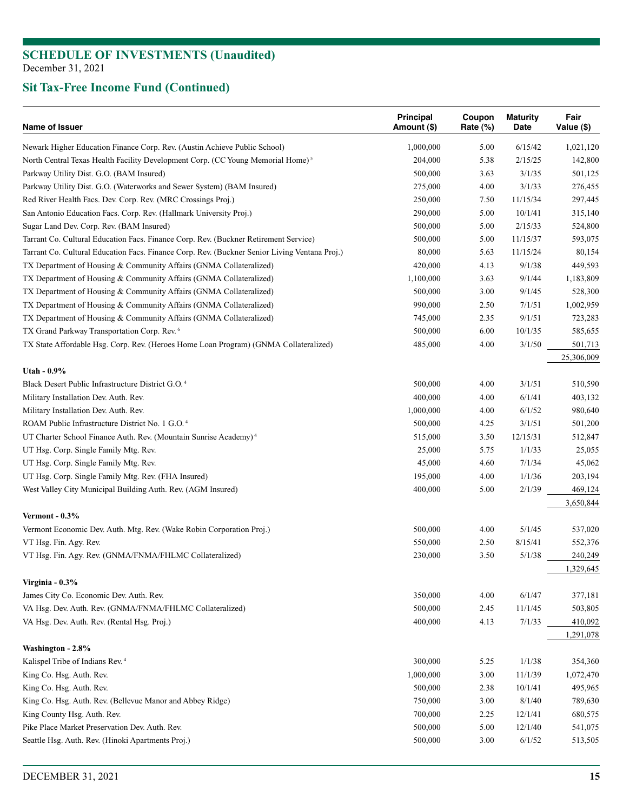| Name of Issuer                                                                                | Principal<br>Amount (\$) | Coupon<br>Rate (%) | <b>Maturity</b><br>Date | Fair<br>Value (\$) |
|-----------------------------------------------------------------------------------------------|--------------------------|--------------------|-------------------------|--------------------|
| Newark Higher Education Finance Corp. Rev. (Austin Achieve Public School)                     | 1,000,000                | 5.00               | 6/15/42                 | 1,021,120          |
| North Central Texas Health Facility Development Corp. (CC Young Memorial Home) <sup>5</sup>   | 204,000                  | 5.38               | 2/15/25                 | 142,800            |
| Parkway Utility Dist. G.O. (BAM Insured)                                                      | 500,000                  | 3.63               | 3/1/35                  | 501,125            |
| Parkway Utility Dist. G.O. (Waterworks and Sewer System) (BAM Insured)                        | 275,000                  | 4.00               | 3/1/33                  | 276,455            |
| Red River Health Facs. Dev. Corp. Rev. (MRC Crossings Proj.)                                  | 250,000                  | 7.50               | 11/15/34                | 297,445            |
| San Antonio Education Facs. Corp. Rev. (Hallmark University Proj.)                            | 290,000                  | 5.00               | 10/1/41                 | 315,140            |
| Sugar Land Dev. Corp. Rev. (BAM Insured)                                                      | 500,000                  | 5.00               | 2/15/33                 | 524,800            |
| Tarrant Co. Cultural Education Facs. Finance Corp. Rev. (Buckner Retirement Service)          | 500,000                  | 5.00               | 11/15/37                | 593,075            |
| Tarrant Co. Cultural Education Facs. Finance Corp. Rev. (Buckner Senior Living Ventana Proj.) | 80,000                   | 5.63               | 11/15/24                | 80,154             |
| TX Department of Housing & Community Affairs (GNMA Collateralized)                            | 420,000                  | 4.13               | 9/1/38                  | 449,593            |
| TX Department of Housing & Community Affairs (GNMA Collateralized)                            | 1,100,000                | 3.63               | 9/1/44                  | 1,183,809          |
| TX Department of Housing & Community Affairs (GNMA Collateralized)                            | 500,000                  | 3.00               | 9/1/45                  | 528,300            |
| TX Department of Housing & Community Affairs (GNMA Collateralized)                            | 990,000                  | 2.50               | 7/1/51                  | 1,002,959          |
| TX Department of Housing & Community Affairs (GNMA Collateralized)                            | 745,000                  | 2.35               | 9/1/51                  | 723,283            |
| TX Grand Parkway Transportation Corp. Rev. <sup>6</sup>                                       | 500,000                  | 6.00               | 10/1/35                 | 585,655            |
| TX State Affordable Hsg. Corp. Rev. (Heroes Home Loan Program) (GNMA Collateralized)          | 485,000                  | 4.00               | 3/1/50                  | 501,713            |
|                                                                                               |                          |                    |                         | 25,306,009         |
| Utah - 0.9%                                                                                   |                          |                    |                         |                    |
| Black Desert Public Infrastructure District G.O. <sup>4</sup>                                 | 500,000                  | 4.00               | 3/1/51                  | 510,590            |
| Military Installation Dev. Auth. Rev.                                                         | 400,000                  | 4.00               | 6/1/41                  | 403,132            |
| Military Installation Dev. Auth. Rev.                                                         | 1,000,000                | 4.00               | 6/1/52                  | 980,640            |
| ROAM Public Infrastructure District No. 1 G.O. <sup>4</sup>                                   | 500,000                  | 4.25               | 3/1/51                  | 501,200            |
| UT Charter School Finance Auth. Rev. (Mountain Sunrise Academy) <sup>4</sup>                  | 515,000                  | 3.50               | 12/15/31                | 512,847            |
| UT Hsg. Corp. Single Family Mtg. Rev.                                                         | 25,000                   | 5.75               | 1/1/33                  | 25,055             |
| UT Hsg. Corp. Single Family Mtg. Rev.                                                         | 45,000                   | 4.60               | 7/1/34                  | 45,062             |
| UT Hsg. Corp. Single Family Mtg. Rev. (FHA Insured)                                           | 195,000                  | 4.00               | 1/1/36                  | 203,194            |
| West Valley City Municipal Building Auth. Rev. (AGM Insured)                                  | 400,000                  | 5.00               | 2/1/39                  | 469,124            |
| Vermont - $0.3\%$                                                                             |                          |                    |                         | 3,650,844          |
| Vermont Economic Dev. Auth. Mtg. Rev. (Wake Robin Corporation Proj.)                          | 500,000                  | 4.00               | 5/1/45                  | 537,020            |
| VT Hsg. Fin. Agy. Rev.                                                                        | 550,000                  | 2.50               | 8/15/41                 | 552,376            |
| VT Hsg. Fin. Agy. Rev. (GNMA/FNMA/FHLMC Collateralized)                                       | 230,000                  | 3.50               | 5/1/38                  | 240,249            |
|                                                                                               |                          |                    |                         | 1,329,645          |
| Virginia - 0.3%                                                                               |                          |                    |                         |                    |
| James City Co. Economic Dev. Auth. Rev.                                                       | 350,000                  | 4.00               | 6/1/47                  | 377,181            |
| VA Hsg. Dev. Auth. Rev. (GNMA/FNMA/FHLMC Collateralized)                                      | 500,000                  | 2.45               | 11/1/45                 | 503,805            |
| VA Hsg. Dev. Auth. Rev. (Rental Hsg. Proj.)                                                   | 400,000                  | 4.13               | 7/1/33                  | 410,092            |
|                                                                                               |                          |                    |                         | 1,291,078          |
| Washington - 2.8%                                                                             |                          |                    |                         |                    |
| Kalispel Tribe of Indians Rev. <sup>4</sup>                                                   | 300,000                  | 5.25               | 1/1/38                  | 354,360            |
| King Co. Hsg. Auth. Rev.                                                                      | 1,000,000                | 3.00               | 11/1/39                 | 1,072,470          |
| King Co. Hsg. Auth. Rev.                                                                      | 500,000                  | 2.38               | 10/1/41                 | 495,965            |
| King Co. Hsg. Auth. Rev. (Bellevue Manor and Abbey Ridge)                                     | 750,000                  | 3.00               | 8/1/40                  | 789,630            |
| King County Hsg. Auth. Rev.                                                                   | 700,000                  | 2.25               | 12/1/41                 | 680,575            |
| Pike Place Market Preservation Dev. Auth. Rev.                                                | 500,000                  | 5.00               | 12/1/40                 | 541,075            |
| Seattle Hsg. Auth. Rev. (Hinoki Apartments Proj.)                                             | 500,000                  | 3.00               | 6/1/52                  | 513,505            |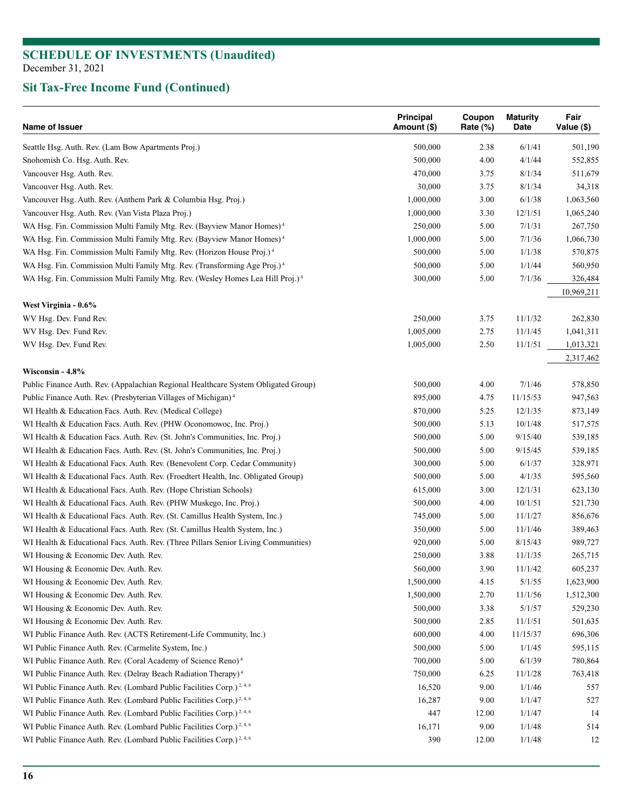| Name of Issuer                                                                                         | Principal<br>Amount (\$) | Coupon<br>Rate $(\%)$ | <b>Maturity</b><br>Date | Fair<br>Value (\$) |
|--------------------------------------------------------------------------------------------------------|--------------------------|-----------------------|-------------------------|--------------------|
| Seattle Hsg. Auth. Rev. (Lam Bow Apartments Proj.)                                                     | 500,000                  | 2.38                  | 6/1/41                  | 501,190            |
| Snohomish Co. Hsg. Auth. Rev.                                                                          | 500,000                  | 4.00                  | 4/1/44                  | 552,855            |
| Vancouver Hsg. Auth. Rev.                                                                              | 470,000                  | 3.75                  | 8/1/34                  | 511,679            |
| Vancouver Hsg. Auth. Rev.                                                                              | 30,000                   | 3.75                  | 8/1/34                  | 34,318             |
| Vancouver Hsg. Auth. Rev. (Anthem Park & Columbia Hsg. Proj.)                                          | 1,000,000                | 3.00                  | 6/1/38                  | 1,063,560          |
| Vancouver Hsg. Auth. Rev. (Van Vista Plaza Proj.)                                                      | 1,000,000                | 3.30                  | 12/1/51                 | 1,065,240          |
| WA Hsg. Fin. Commission Multi Family Mtg. Rev. (Bayview Manor Homes) <sup>4</sup>                      | 250,000                  | 5.00                  | 7/1/31                  | 267,750            |
| WA Hsg. Fin. Commission Multi Family Mtg. Rev. (Bayview Manor Homes) <sup>4</sup>                      | 1,000,000                | 5.00                  | 7/1/36                  | 1,066,730          |
| WA Hsg. Fin. Commission Multi Family Mtg. Rev. (Horizon House Proj.) <sup>4</sup>                      | 500,000                  | 5.00                  | 1/1/38                  | 570,875            |
| WA Hsg. Fin. Commission Multi Family Mtg. Rev. (Transforming Age Proj.) <sup>4</sup>                   | 500,000                  | 5.00                  | 1/1/44                  | 560,950            |
| WA Hsg. Fin. Commission Multi Family Mtg. Rev. (Wesley Homes Lea Hill Proj.) <sup>4</sup>              | 300,000                  | 5.00                  | 7/1/36                  | 326,484            |
|                                                                                                        |                          |                       |                         | 10,969,211         |
| West Virginia - 0.6%                                                                                   |                          |                       |                         |                    |
| WV Hsg. Dev. Fund Rev.                                                                                 | 250,000                  | 3.75                  | 11/1/32                 | 262,830            |
| WV Hsg. Dev. Fund Rev.                                                                                 | 1,005,000                | 2.75                  | 11/1/45                 | 1,041,311          |
| WV Hsg. Dev. Fund Rev.                                                                                 | 1,005,000                | 2.50                  | 11/1/51                 | 1,013,321          |
|                                                                                                        |                          |                       |                         | 2,317,462          |
| Wisconsin - 4.8%<br>Public Finance Auth. Rev. (Appalachian Regional Healthcare System Obligated Group) | 500,000                  | 4.00                  | 7/1/46                  | 578,850            |
|                                                                                                        |                          |                       |                         |                    |
| Public Finance Auth. Rev. (Presbyterian Villages of Michigan) <sup>4</sup>                             | 895,000                  | 4.75                  | 11/15/53                | 947,563            |
| WI Health & Education Facs. Auth. Rev. (Medical College)                                               | 870,000                  | 5.25                  | 12/1/35                 | 873,149            |
| WI Health & Education Facs. Auth. Rev. (PHW Oconomowoc, Inc. Proj.)                                    | 500,000                  | 5.13                  | 10/1/48                 | 517,575            |
| WI Health & Education Facs. Auth. Rev. (St. John's Communities, Inc. Proj.)                            | 500,000                  | 5.00                  | 9/15/40                 | 539,185            |
| WI Health & Education Facs. Auth. Rev. (St. John's Communities, Inc. Proj.)                            | 500,000                  | 5.00                  | 9/15/45                 | 539,185            |
| WI Health & Educational Facs. Auth. Rev. (Benevolent Corp. Cedar Community)                            | 300,000                  | 5.00                  | 6/1/37                  | 328,971            |
| WI Health & Educational Facs. Auth. Rev. (Froedtert Health, Inc. Obligated Group)                      | 500,000                  | 5.00                  | 4/1/35                  | 595,560            |
| WI Health & Educational Facs. Auth. Rev. (Hope Christian Schools)                                      | 615,000                  | 3.00                  | 12/1/31                 | 623,130            |
| WI Health & Educational Facs. Auth. Rev. (PHW Muskego, Inc. Proj.)                                     | 500,000                  | 4.00                  | 10/1/51                 | 521,730            |
| WI Health & Educational Facs. Auth. Rev. (St. Camillus Health System, Inc.)                            | 745,000                  | 5.00                  | 11/1/27                 | 856,676            |
| WI Health & Educational Facs. Auth. Rev. (St. Camillus Health System, Inc.)                            | 350,000                  | 5.00                  | 11/1/46                 | 389,463            |
| WI Health & Educational Facs. Auth. Rev. (Three Pillars Senior Living Communities)                     | 920,000                  | 5.00                  | 8/15/43                 | 989,727            |
| WI Housing & Economic Dev. Auth. Rev.                                                                  | 250,000                  | 3.88                  | 11/1/35                 | 265,715            |
| WI Housing & Economic Dev. Auth. Rev.                                                                  | 560,000                  | 3.90                  | 11/1/42                 | 605,237            |
| WI Housing & Economic Dev. Auth. Rev.                                                                  | 1,500,000                | 4.15                  | 5/1/55                  | 1,623,900          |
| WI Housing & Economic Dev. Auth. Rev.                                                                  | 1,500,000                | 2.70                  | 11/1/56                 | 1,512,300          |
| WI Housing & Economic Dev. Auth. Rev.                                                                  | 500,000                  | 3.38                  | 5/1/57                  | 529,230            |
| WI Housing & Economic Dev. Auth. Rev.                                                                  | 500,000                  | 2.85                  | 11/1/51                 | 501,635            |
| WI Public Finance Auth. Rev. (ACTS Retirement-Life Community, Inc.)                                    | 600,000                  | 4.00                  | 11/15/37                | 696,306            |
| WI Public Finance Auth. Rev. (Carmelite System, Inc.)                                                  | 500,000                  | 5.00                  | 1/1/45                  | 595,115            |
| WI Public Finance Auth. Rev. (Coral Academy of Science Reno) <sup>4</sup>                              | 700,000                  | 5.00                  | 6/1/39                  | 780,864            |
| WI Public Finance Auth. Rev. (Delray Beach Radiation Therapy) <sup>4</sup>                             | 750,000                  | 6.25                  | 11/1/28                 | 763,418            |
| WI Public Finance Auth. Rev. (Lombard Public Facilities Corp.) <sup>2, 4, 6</sup>                      | 16,520                   | 9.00                  | 1/1/46                  | 557                |
| WI Public Finance Auth. Rev. (Lombard Public Facilities Corp.) <sup>2,4,6</sup>                        | 16,287                   | 9.00                  | 1/1/47                  | 527                |
| WI Public Finance Auth. Rev. (Lombard Public Facilities Corp.) <sup>2,4,6</sup>                        | 447                      | 12.00                 | 1/1/47                  | 14                 |
| WI Public Finance Auth. Rev. (Lombard Public Facilities Corp.) <sup>2,4,6</sup>                        | 16,171                   | 9.00                  | 1/1/48                  | 514                |
| WI Public Finance Auth. Rev. (Lombard Public Facilities Corp.) <sup>2,4,6</sup>                        | 390                      | 12.00                 | 1/1/48                  | 12                 |
|                                                                                                        |                          |                       |                         |                    |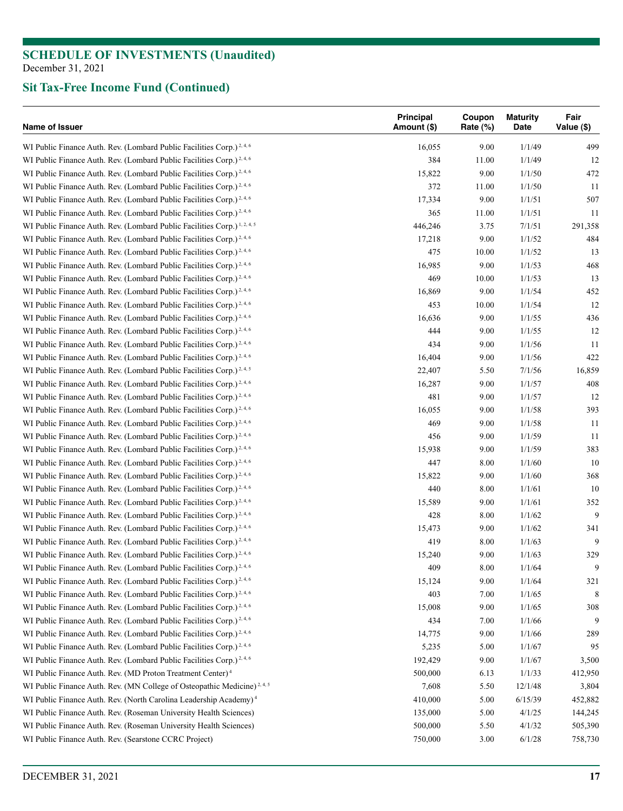| Name of Issuer                                                                       | <b>Principal</b><br>Amount (\$) | Coupon<br>Rate (%) | <b>Maturity</b><br>Date | Fair<br>Value (\$) |
|--------------------------------------------------------------------------------------|---------------------------------|--------------------|-------------------------|--------------------|
| WI Public Finance Auth. Rev. (Lombard Public Facilities Corp.) <sup>2,4,6</sup>      | 16,055                          | 9.00               | 1/1/49                  | 499                |
| WI Public Finance Auth. Rev. (Lombard Public Facilities Corp.) <sup>2,4,6</sup>      | 384                             | 11.00              | 1/1/49                  | 12                 |
| WI Public Finance Auth. Rev. (Lombard Public Facilities Corp.) <sup>2, 4, 6</sup>    | 15,822                          | 9.00               | 1/1/50                  | 472                |
| WI Public Finance Auth. Rev. (Lombard Public Facilities Corp.) <sup>2,4,6</sup>      | 372                             | 11.00              | 1/1/50                  | 11                 |
| WI Public Finance Auth. Rev. (Lombard Public Facilities Corp.) <sup>2, 4, 6</sup>    | 17,334                          | 9.00               | 1/1/51                  | 507                |
| WI Public Finance Auth. Rev. (Lombard Public Facilities Corp.) <sup>2,4,6</sup>      | 365                             | 11.00              | 1/1/51                  | 11                 |
| WI Public Finance Auth. Rev. (Lombard Public Facilities Corp.) <sup>1, 2, 4, 5</sup> | 446,246                         | 3.75               | 7/1/51                  | 291,358            |
| WI Public Finance Auth. Rev. (Lombard Public Facilities Corp.) <sup>2, 4, 6</sup>    | 17,218                          | 9.00               | 1/1/52                  | 484                |
| WI Public Finance Auth. Rev. (Lombard Public Facilities Corp.) <sup>2,4,6</sup>      | 475                             | 10.00              | 1/1/52                  | 13                 |
| WI Public Finance Auth. Rev. (Lombard Public Facilities Corp.) <sup>2, 4, 6</sup>    | 16,985                          | 9.00               | 1/1/53                  | 468                |
| WI Public Finance Auth. Rev. (Lombard Public Facilities Corp.) <sup>2,4,6</sup>      | 469                             | 10.00              | 1/1/53                  | 13                 |
| WI Public Finance Auth. Rev. (Lombard Public Facilities Corp.) <sup>2,4,6</sup>      | 16,869                          | 9.00               | 1/1/54                  | 452                |
| WI Public Finance Auth. Rev. (Lombard Public Facilities Corp.) <sup>2,4,6</sup>      | 453                             | 10.00              | 1/1/54                  | 12                 |
| WI Public Finance Auth. Rev. (Lombard Public Facilities Corp.) <sup>2,4,6</sup>      | 16,636                          | 9.00               | 1/1/55                  | 436                |
| WI Public Finance Auth. Rev. (Lombard Public Facilities Corp.) <sup>2,4,6</sup>      | 444                             | 9.00               | 1/1/55                  | 12                 |
| WI Public Finance Auth. Rev. (Lombard Public Facilities Corp.) <sup>2,4,6</sup>      | 434                             | 9.00               | 1/1/56                  | 11                 |
| WI Public Finance Auth. Rev. (Lombard Public Facilities Corp.) <sup>2,4,6</sup>      | 16,404                          | 9.00               | 1/1/56                  | 422                |
| WI Public Finance Auth. Rev. (Lombard Public Facilities Corp.) <sup>2, 4, 5</sup>    | 22,407                          | 5.50               | 7/1/56                  | 16,859             |
| WI Public Finance Auth. Rev. (Lombard Public Facilities Corp.) <sup>2,4,6</sup>      | 16,287                          | 9.00               | 1/1/57                  | 408                |
|                                                                                      |                                 |                    |                         |                    |
| WI Public Finance Auth. Rev. (Lombard Public Facilities Corp.) <sup>2, 4, 6</sup>    | 481                             | 9.00               | 1/1/57                  | 12                 |
| WI Public Finance Auth. Rev. (Lombard Public Facilities Corp.) <sup>2,4,6</sup>      | 16,055                          | 9.00               | 1/1/58                  | 393                |
| WI Public Finance Auth. Rev. (Lombard Public Facilities Corp.) <sup>2,4,6</sup>      | 469                             | 9.00               | 1/1/58                  | 11                 |
| WI Public Finance Auth. Rev. (Lombard Public Facilities Corp.) <sup>2,4,6</sup>      | 456                             | 9.00               | 1/1/59                  | 11                 |
| WI Public Finance Auth. Rev. (Lombard Public Facilities Corp.) <sup>2,4,6</sup>      | 15,938                          | 9.00               | 1/1/59                  | 383                |
| WI Public Finance Auth. Rev. (Lombard Public Facilities Corp.) <sup>2,4,6</sup>      | 447                             | 8.00               | 1/1/60                  | 10                 |
| WI Public Finance Auth. Rev. (Lombard Public Facilities Corp.) <sup>2, 4, 6</sup>    | 15,822                          | 9.00               | 1/1/60                  | 368                |
| WI Public Finance Auth. Rev. (Lombard Public Facilities Corp.) <sup>2,4,6</sup>      | 440                             | 8.00               | 1/1/61                  | 10                 |
| WI Public Finance Auth. Rev. (Lombard Public Facilities Corp.) <sup>2,4,6</sup>      | 15,589                          | 9.00               | 1/1/61                  | 352                |
| WI Public Finance Auth. Rev. (Lombard Public Facilities Corp.) <sup>2, 4, 6</sup>    | 428                             | 8.00               | 1/1/62                  | 9                  |
| WI Public Finance Auth. Rev. (Lombard Public Facilities Corp.) <sup>2,4,6</sup>      | 15,473                          | 9.00               | 1/1/62                  | 341                |
| WI Public Finance Auth. Rev. (Lombard Public Facilities Corp.) <sup>2, 4, 6</sup>    | 419                             | 8.00               | 1/1/63                  | 9                  |
| WI Public Finance Auth. Rev. (Lombard Public Facilities Corp.) <sup>2, 4, 6</sup>    | 15,240                          | 9.00               | 1/1/63                  | 329                |
| WI Public Finance Auth. Rev. (Lombard Public Facilities Corp.) <sup>2,4,6</sup>      | 409                             | 8.00               | 1/1/64                  | 9                  |
| WI Public Finance Auth. Rev. (Lombard Public Facilities Corp.) <sup>2,4,6</sup>      | 15,124                          | 9.00               | 1/1/64                  | 321                |
| WI Public Finance Auth. Rev. (Lombard Public Facilities Corp.) <sup>2, 4, 6</sup>    | 403                             | 7.00               | 1/1/65                  | 8                  |
| WI Public Finance Auth. Rev. (Lombard Public Facilities Corp.) <sup>2, 4, 6</sup>    | 15,008                          | 9.00               | 1/1/65                  | 308                |
| WI Public Finance Auth. Rev. (Lombard Public Facilities Corp.) <sup>2, 4, 6</sup>    | 434                             | 7.00               | 1/1/66                  | 9                  |
| WI Public Finance Auth. Rev. (Lombard Public Facilities Corp.) <sup>2,4,6</sup>      | 14,775                          | 9.00               | 1/1/66                  | 289                |
| WI Public Finance Auth. Rev. (Lombard Public Facilities Corp.) <sup>2,4,6</sup>      | 5,235                           | 5.00               | 1/1/67                  | 95                 |
| WI Public Finance Auth. Rev. (Lombard Public Facilities Corp.) <sup>2, 4, 6</sup>    | 192,429                         | 9.00               | 1/1/67                  | 3,500              |
| WI Public Finance Auth. Rev. (MD Proton Treatment Center) <sup>4</sup>               | 500,000                         | 6.13               | 1/1/33                  | 412,950            |
| WI Public Finance Auth. Rev. (MN College of Osteopathic Medicine) <sup>2,4,5</sup>   | 7,608                           | 5.50               | 12/1/48                 | 3,804              |
| WI Public Finance Auth. Rev. (North Carolina Leadership Academy) <sup>4</sup>        | 410,000                         | 5.00               | 6/15/39                 | 452,882            |
| WI Public Finance Auth. Rev. (Roseman University Health Sciences)                    | 135,000                         | 5.00               | 4/1/25                  | 144,245            |
| WI Public Finance Auth. Rev. (Roseman University Health Sciences)                    | 500,000                         | 5.50               | 4/1/32                  | 505,390            |
| WI Public Finance Auth. Rev. (Searstone CCRC Project)                                | 750,000                         | 3.00               | 6/1/28                  | 758,730            |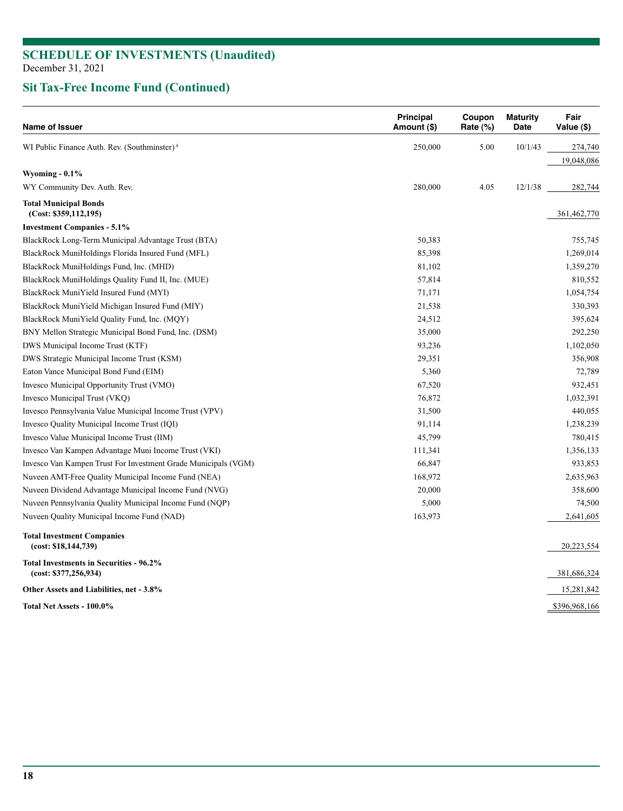| Name of Issuer                                                   | <b>Principal</b><br>Amount (\$) | Coupon<br>Rate (%) | <b>Maturity</b><br>Date | Fair<br>Value (\$) |
|------------------------------------------------------------------|---------------------------------|--------------------|-------------------------|--------------------|
| WI Public Finance Auth. Rev. (Southminster) <sup>4</sup>         | 250,000                         | 5.00               | 10/1/43                 | 274,740            |
|                                                                  |                                 |                    |                         | 19,048,086         |
| Wyoming $-0.1\%$                                                 |                                 |                    |                         |                    |
| WY Community Dev. Auth. Rev.                                     | 280,000                         | 4.05               | 12/1/38                 | 282,744            |
| <b>Total Municipal Bonds</b><br>(Cost: \$359,112,195)            |                                 |                    |                         | 361,462,770        |
| <b>Investment Companies - 5.1%</b>                               |                                 |                    |                         |                    |
| BlackRock Long-Term Municipal Advantage Trust (BTA)              | 50,383                          |                    |                         | 755,745            |
| BlackRock MuniHoldings Florida Insured Fund (MFL)                | 85,398                          |                    |                         | 1,269,014          |
| BlackRock MuniHoldings Fund, Inc. (MHD)                          | 81,102                          |                    |                         | 1,359,270          |
| BlackRock MuniHoldings Quality Fund II, Inc. (MUE)               | 57,814                          |                    |                         | 810,552            |
| BlackRock MuniYield Insured Fund (MYI)                           | 71,171                          |                    |                         | 1,054,754          |
| BlackRock MuniYield Michigan Insured Fund (MIY)                  | 21,538                          |                    |                         | 330,393            |
| BlackRock MuniYield Quality Fund, Inc. (MQY)                     | 24,512                          |                    |                         | 395,624            |
| BNY Mellon Strategic Municipal Bond Fund, Inc. (DSM)             | 35,000                          |                    |                         | 292,250            |
| DWS Municipal Income Trust (KTF)                                 | 93,236                          |                    |                         | 1,102,050          |
| DWS Strategic Municipal Income Trust (KSM)                       | 29,351                          |                    |                         | 356,908            |
| Eaton Vance Municipal Bond Fund (EIM)                            | 5,360                           |                    |                         | 72,789             |
| Invesco Municipal Opportunity Trust (VMO)                        | 67,520                          |                    |                         | 932,451            |
| Invesco Municipal Trust (VKQ)                                    | 76,872                          |                    |                         | 1,032,391          |
| Invesco Pennsylvania Value Municipal Income Trust (VPV)          | 31,500                          |                    |                         | 440,055            |
| Invesco Quality Municipal Income Trust (IQI)                     | 91,114                          |                    |                         | 1,238,239          |
| Invesco Value Municipal Income Trust (IIM)                       | 45,799                          |                    |                         | 780,415            |
| Invesco Van Kampen Advantage Muni Income Trust (VKI)             | 111,341                         |                    |                         | 1,356,133          |
| Invesco Van Kampen Trust For Investment Grade Municipals (VGM)   | 66,847                          |                    |                         | 933,853            |
| Nuveen AMT-Free Quality Municipal Income Fund (NEA)              | 168,972                         |                    |                         | 2,635,963          |
| Nuveen Dividend Advantage Municipal Income Fund (NVG)            | 20,000                          |                    |                         | 358,600            |
| Nuveen Pennsylvania Quality Municipal Income Fund (NQP)          | 5,000                           |                    |                         | 74,500             |
| Nuveen Quality Municipal Income Fund (NAD)                       | 163,973                         |                    |                         | 2,641,605          |
| <b>Total Investment Companies</b><br>(cost: \$18,144,739)        |                                 |                    |                         | 20,223,554         |
| Total Investments in Securities - 96.2%<br>(cost: \$377,256,934) |                                 |                    |                         | 381,686,324        |
| Other Assets and Liabilities, net - 3.8%                         |                                 |                    |                         | 15,281,842         |
| Total Net Assets - 100.0%                                        |                                 |                    |                         | \$396,968,166      |